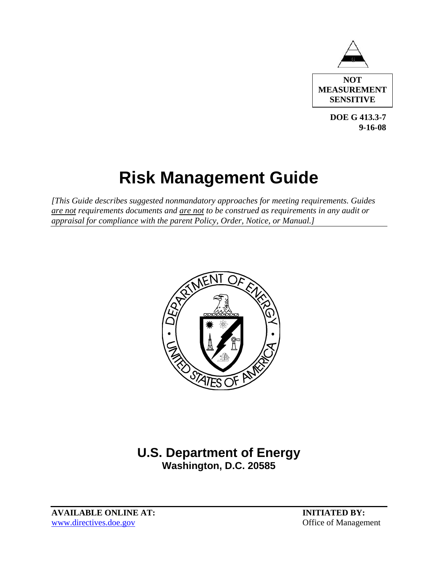

**DOE G 413.3-7 9-16-08** 

# **Risk Management Guide**

*[This Guide describes suggested nonmandatory approaches for meeting requirements. Guides are not requirements documents and are not to be construed as requirements in any audit or appraisal for compliance with the parent Policy, Order, Notice, or Manual.]* 



# **U.S. Department of Energy Washington, D.C. 20585**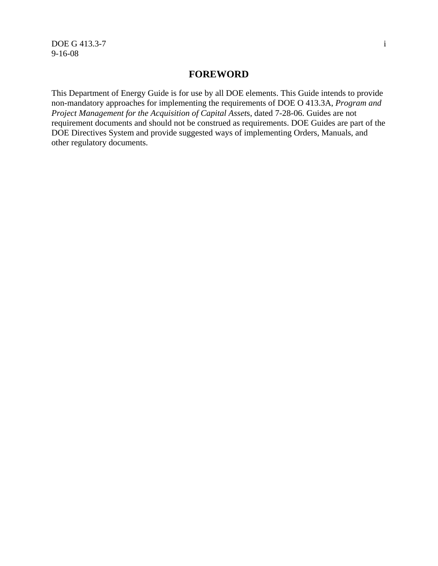DOE G 413.3-7 i 9-16-08

#### **FOREWORD**

This Department of Energy Guide is for use by all DOE elements. This Guide intends to provide non-mandatory approaches for implementing the requirements of DOE O 413.3A, *Program and Project Management for the Acquisition of Capital Asset*s, dated 7-28-06. Guides are not requirement documents and should not be construed as requirements. DOE Guides are part of the DOE Directives System and provide suggested ways of implementing Orders, Manuals, and other regulatory documents.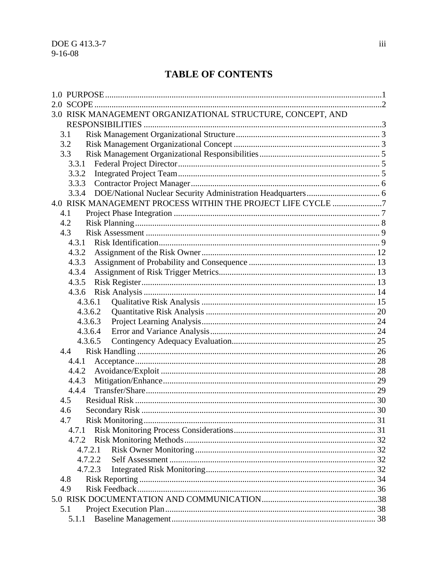### **TABLE OF CONTENTS**

| 3.0 RISK MANAGEMENT ORGANIZATIONAL STRUCTURE, CONCEPT, AND  |  |
|-------------------------------------------------------------|--|
|                                                             |  |
| 3.1                                                         |  |
| 3.2                                                         |  |
| 3.3                                                         |  |
| 3.3.1                                                       |  |
| 3.3.2                                                       |  |
| 3.3.3                                                       |  |
| 3.3.4                                                       |  |
| 4.0 RISK MANAGEMENT PROCESS WITHIN THE PROJECT LIFE CYCLE 7 |  |
| 4.1                                                         |  |
| 4.2                                                         |  |
| 4.3                                                         |  |
| 4.3.1                                                       |  |
| 4.3.2                                                       |  |
| 4.3.3                                                       |  |
| 4.3.4                                                       |  |
| 4.3.5                                                       |  |
| 4.3.6                                                       |  |
| 4.3.6.1                                                     |  |
| 4.3.6.2                                                     |  |
| 4.3.6.3                                                     |  |
| 4.3.6.4                                                     |  |
| 4.3.6.5                                                     |  |
| 4.4                                                         |  |
| 4.4.1                                                       |  |
| 4.4.2                                                       |  |
| 4.4.3                                                       |  |
| 4.4.4                                                       |  |
| 4.5                                                         |  |
|                                                             |  |
| 4.7                                                         |  |
| 4.7.1                                                       |  |
| 4.7.2                                                       |  |
| 4.7.2.1                                                     |  |
| 4.7.2.2                                                     |  |
| 4.7.2.3                                                     |  |
| 4.8                                                         |  |
| 4.9                                                         |  |
|                                                             |  |
| 5.1                                                         |  |
| 5.1.1                                                       |  |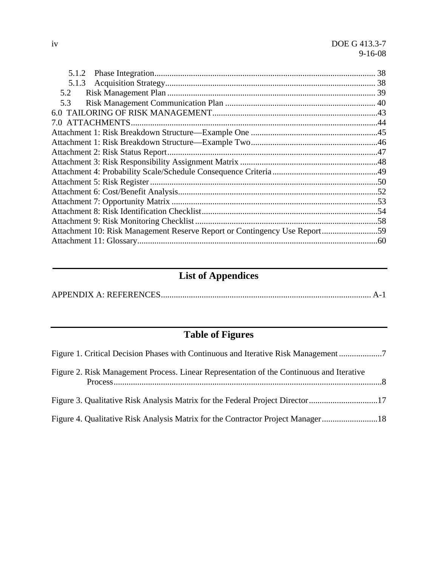| 5.1.2                                                                     |  |
|---------------------------------------------------------------------------|--|
|                                                                           |  |
| 5.2                                                                       |  |
| 5.3                                                                       |  |
|                                                                           |  |
|                                                                           |  |
|                                                                           |  |
|                                                                           |  |
|                                                                           |  |
|                                                                           |  |
|                                                                           |  |
|                                                                           |  |
|                                                                           |  |
|                                                                           |  |
|                                                                           |  |
|                                                                           |  |
| Attachment 10: Risk Management Reserve Report or Contingency Use Report59 |  |
|                                                                           |  |
|                                                                           |  |

# **List of Appendices**

|--|--|--|

# **Table of Figures**

| Figure 1. Critical Decision Phases with Continuous and Iterative Risk Management         |  |
|------------------------------------------------------------------------------------------|--|
| Figure 2. Risk Management Process. Linear Representation of the Continuous and Iterative |  |
| Figure 3. Qualitative Risk Analysis Matrix for the Federal Project Director17            |  |
| Figure 4. Qualitative Risk Analysis Matrix for the Contractor Project Manager18          |  |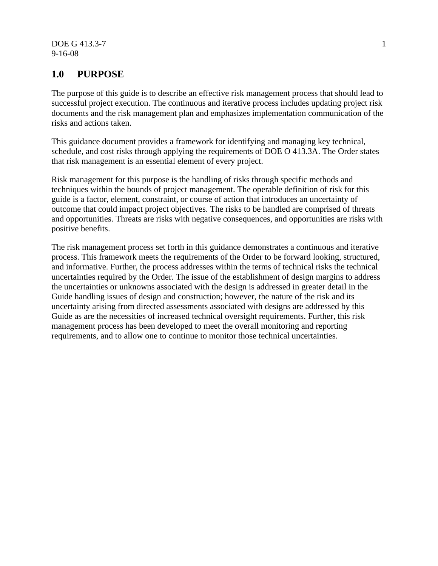DOE G 413.3-7 1 9-16-08

#### **1.0 PURPOSE**

The purpose of this guide is to describe an effective risk management process that should lead to successful project execution. The continuous and iterative process includes updating project risk documents and the risk management plan and emphasizes implementation communication of the risks and actions taken.

This guidance document provides a framework for identifying and managing key technical, schedule, and cost risks through applying the requirements of DOE O 413.3A. The Order states that risk management is an essential element of every project.

Risk management for this purpose is the handling of risks through specific methods and techniques within the bounds of project management. The operable definition of risk for this guide is a factor, element, constraint, or course of action that introduces an uncertainty of outcome that could impact project objectives. The risks to be handled are comprised of threats and opportunities. Threats are risks with negative consequences, and opportunities are risks with positive benefits.

The risk management process set forth in this guidance demonstrates a continuous and iterative process. This framework meets the requirements of the Order to be forward looking, structured, and informative. Further, the process addresses within the terms of technical risks the technical uncertainties required by the Order. The issue of the establishment of design margins to address the uncertainties or unknowns associated with the design is addressed in greater detail in the Guide handling issues of design and construction; however, the nature of the risk and its uncertainty arising from directed assessments associated with designs are addressed by this Guide as are the necessities of increased technical oversight requirements. Further, this risk management process has been developed to meet the overall monitoring and reporting requirements, and to allow one to continue to monitor those technical uncertainties.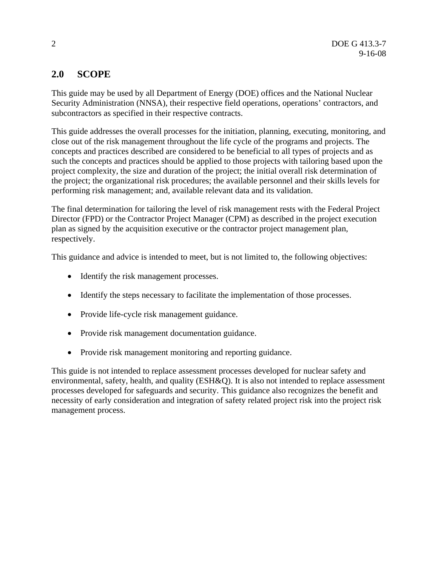#### **2.0 SCOPE**

This guide may be used by all Department of Energy (DOE) offices and the National Nuclear Security Administration (NNSA), their respective field operations, operations' contractors, and subcontractors as specified in their respective contracts.

This guide addresses the overall processes for the initiation, planning, executing, monitoring, and close out of the risk management throughout the life cycle of the programs and projects. The concepts and practices described are considered to be beneficial to all types of projects and as such the concepts and practices should be applied to those projects with tailoring based upon the project complexity, the size and duration of the project; the initial overall risk determination of the project; the organizational risk procedures; the available personnel and their skills levels for performing risk management; and, available relevant data and its validation.

The final determination for tailoring the level of risk management rests with the Federal Project Director (FPD) or the Contractor Project Manager (CPM) as described in the project execution plan as signed by the acquisition executive or the contractor project management plan, respectively.

This guidance and advice is intended to meet, but is not limited to, the following objectives:

- Identify the risk management processes.
- Identify the steps necessary to facilitate the implementation of those processes.
- Provide life-cycle risk management guidance.
- Provide risk management documentation guidance.
- Provide risk management monitoring and reporting guidance.

This guide is not intended to replace assessment processes developed for nuclear safety and environmental, safety, health, and quality (ESH&Q). It is also not intended to replace assessment processes developed for safeguards and security. This guidance also recognizes the benefit and necessity of early consideration and integration of safety related project risk into the project risk management process.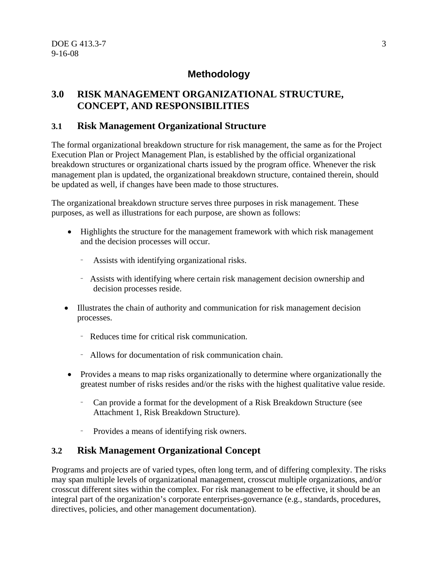#### **Methodology**

#### **3.0 RISK MANAGEMENT ORGANIZATIONAL STRUCTURE, CONCEPT, AND RESPONSIBILITIES**

#### **3.1 Risk Management Organizational Structure**

The formal organizational breakdown structure for risk management, the same as for the Project Execution Plan or Project Management Plan, is established by the official organizational breakdown structures or organizational charts issued by the program office. Whenever the risk management plan is updated, the organizational breakdown structure, contained therein, should be updated as well, if changes have been made to those structures.

The organizational breakdown structure serves three purposes in risk management. These purposes, as well as illustrations for each purpose, are shown as follows:

- Highlights the structure for the management framework with which risk management and the decision processes will occur.
	- Assists with identifying organizational risks.
	- Assists with identifying where certain risk management decision ownership and decision processes reside.
- Illustrates the chain of authority and communication for risk management decision processes.
	- Reduces time for critical risk communication.
	- Allows for documentation of risk communication chain.
- Provides a means to map risks organizationally to determine where organizationally the greatest number of risks resides and/or the risks with the highest qualitative value reside.
	- Can provide a format for the development of a Risk Breakdown Structure (see Attachment 1, Risk Breakdown Structure).
	- Provides a means of identifying risk owners.

#### **3.2 Risk Management Organizational Concept**

Programs and projects are of varied types, often long term, and of differing complexity. The risks may span multiple levels of organizational management, crosscut multiple organizations, and/or crosscut different sites within the complex. For risk management to be effective, it should be an integral part of the organization's corporate enterprises-governance (e.g., standards, procedures, directives, policies, and other management documentation).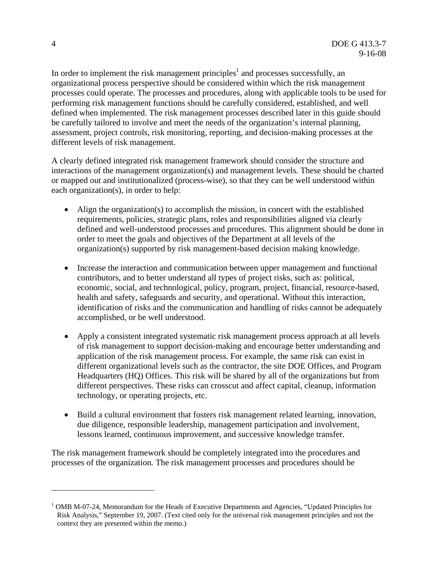In order to implement the risk management principles<sup>1</sup> and processes successfully, an organizational process perspective should be considered within which the risk management processes could operate. The processes and procedures, along with applicable tools to be used for performing risk management functions should be carefully considered, established, and well defined when implemented. The risk management processes described later in this guide should be carefully tailored to involve and meet the needs of the organization's internal planning, assessment, project controls, risk monitoring, reporting, and decision-making processes at the different levels of risk management.

A clearly defined integrated risk management framework should consider the structure and interactions of the management organization(s) and management levels. These should be charted or mapped out and institutionalized (process-wise), so that they can be well understood within each organization(s), in order to help:

- Align the organization(s) to accomplish the mission, in concert with the established requirements, policies, strategic plans, roles and responsibilities aligned via clearly defined and well-understood processes and procedures. This alignment should be done in order to meet the goals and objectives of the Department at all levels of the organization(s) supported by risk management-based decision making knowledge.
- Increase the interaction and communication between upper management and functional contributors, and to better understand all types of project risks, such as: political, economic, social, and technological, policy, program, project, financial, resource-based, health and safety, safeguards and security, and operational. Without this interaction, identification of risks and the communication and handling of risks cannot be adequately accomplished, or be well understood.
- Apply a consistent integrated systematic risk management process approach at all levels of risk management to support decision-making and encourage better understanding and application of the risk management process. For example, the same risk can exist in different organizational levels such as the contractor, the site DOE Offices, and Program Headquarters (HQ) Offices. This risk will be shared by all of the organizations but from different perspectives. These risks can crosscut and affect capital, cleanup, information technology, or operating projects, etc.
- Build a cultural environment that fosters risk management related learning, innovation, due diligence, responsible leadership, management participation and involvement, lessons learned, continuous improvement, and successive knowledge transfer.

The risk management framework should be completely integrated into the procedures and processes of the organization*.* The risk management processes and procedures should be

 $\overline{a}$ 

<sup>&</sup>lt;sup>1</sup> OMB M-07-24, Memorandum for the Heads of Executive Departments and Agencies, "Updated Principles for Risk Analysis," September 19, 2007. (Text cited only for the universal risk management principles and not the context they are presented within the memo.)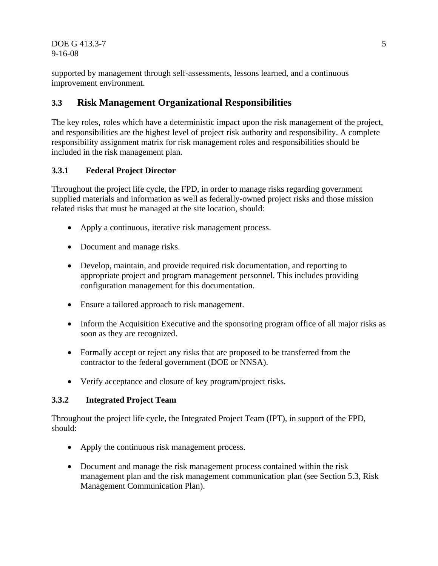DOE G 413.3-7 5 9-16-08

supported by management through self-assessments, lessons learned, and a continuous improvement environment.

#### **3.3 Risk Management Organizational Responsibilities**

The key roles, roles which have a deterministic impact upon the risk management of the project, and responsibilities are the highest level of project risk authority and responsibility. A complete responsibility assignment matrix for risk management roles and responsibilities should be included in the risk management plan.

#### **3.3.1 Federal Project Director**

Throughout the project life cycle, the FPD, in order to manage risks regarding government supplied materials and information as well as federally-owned project risks and those mission related risks that must be managed at the site location, should:

- Apply a continuous, iterative risk management process.
- Document and manage risks.
- Develop, maintain, and provide required risk documentation, and reporting to appropriate project and program management personnel. This includes providing configuration management for this documentation.
- Ensure a tailored approach to risk management.
- Inform the Acquisition Executive and the sponsoring program office of all major risks as soon as they are recognized.
- Formally accept or reject any risks that are proposed to be transferred from the contractor to the federal government (DOE or NNSA).
- Verify acceptance and closure of key program/project risks.

#### **3.3.2 Integrated Project Team**

Throughout the project life cycle, the Integrated Project Team (IPT), in support of the FPD, should:

- Apply the continuous risk management process.
- Document and manage the risk management process contained within the risk management plan and the risk management communication plan (see Section 5.3, Risk Management Communication Plan).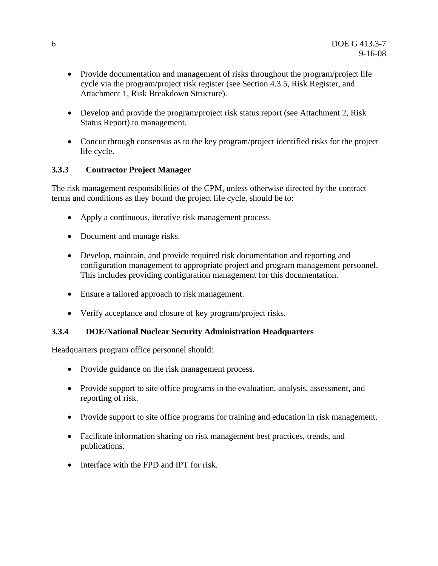- Provide documentation and management of risks throughout the program/project life cycle via the program/project risk register (see Section 4.3.5, Risk Register, and Attachment 1, Risk Breakdown Structure).
- Develop and provide the program/project risk status report (see Attachment 2, Risk Status Report) to management.
- Concur through consensus as to the key program/project identified risks for the project life cycle.

#### **3.3.3 Contractor Project Manager**

The risk management responsibilities of the CPM, unless otherwise directed by the contract terms and conditions as they bound the project life cycle, should be to:

- Apply a continuous, iterative risk management process.
- Document and manage risks.
- Develop, maintain, and provide required risk documentation and reporting and configuration management to appropriate project and program management personnel. This includes providing configuration management for this documentation.
- Ensure a tailored approach to risk management.
- Verify acceptance and closure of key program/project risks.

#### **3.3.4 DOE/National Nuclear Security Administration Headquarters**

Headquarters program office personnel should:

- Provide guidance on the risk management process.
- Provide support to site office programs in the evaluation, analysis, assessment, and reporting of risk.
- Provide support to site office programs for training and education in risk management.
- Facilitate information sharing on risk management best practices, trends, and publications.
- Interface with the FPD and IPT for risk.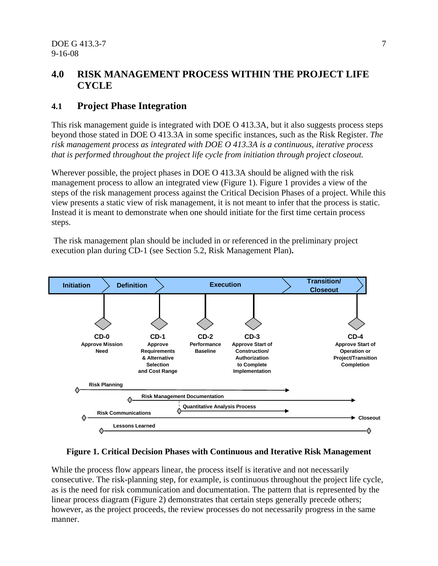#### **4.0 RISK MANAGEMENT PROCESS WITHIN THE PROJECT LIFE CYCLE**

#### **4.1 Project Phase Integration**

This risk management guide is integrated with DOE O 413.3A, but it also suggests process steps beyond those stated in DOE O 413.3A in some specific instances, such as the Risk Register. *The risk management process as integrated with DOE O 413.3A is a continuous, iterative process that is performed throughout the project life cycle from initiation through project closeout.*

Wherever possible, the project phases in DOE O 413.3A should be aligned with the risk management process to allow an integrated view (Figure 1). Figure 1 provides a view of the steps of the risk management process against the Critical Decision Phases of a project. While this view presents a static view of risk management, it is not meant to infer that the process is static. Instead it is meant to demonstrate when one should initiate for the first time certain process steps.

 The risk management plan should be included in or referenced in the preliminary project execution plan during CD-1 (see Section 5.2, Risk Management Plan)**.** 



#### **Figure 1. Critical Decision Phases with Continuous and Iterative Risk Management**

While the process flow appears linear, the process itself is iterative and not necessarily consecutive. The risk-planning step, for example, is continuous throughout the project life cycle, as is the need for risk communication and documentation. The pattern that is represented by the linear process diagram (Figure 2) demonstrates that certain steps generally precede others; however, as the project proceeds, the review processes do not necessarily progress in the same manner.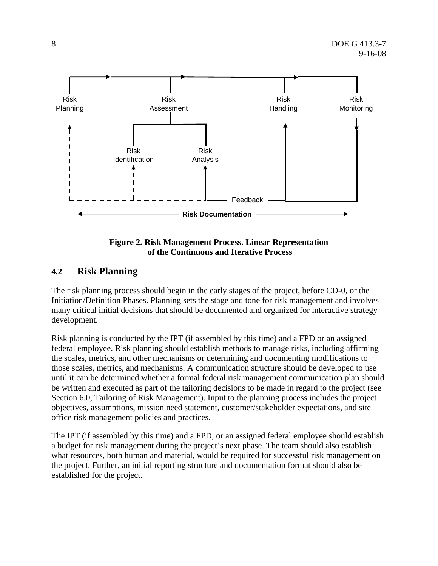



#### **4.2 Risk Planning**

The risk planning process should begin in the early stages of the project, before CD-0, or the Initiation/Definition Phases. Planning sets the stage and tone for risk management and involves many critical initial decisions that should be documented and organized for interactive strategy development.

Risk planning is conducted by the IPT (if assembled by this time) and a FPD or an assigned federal employee. Risk planning should establish methods to manage risks, including affirming the scales, metrics, and other mechanisms or determining and documenting modifications to those scales, metrics, and mechanisms. A communication structure should be developed to use until it can be determined whether a formal federal risk management communication plan should be written and executed as part of the tailoring decisions to be made in regard to the project (see Section 6.0, Tailoring of Risk Management). Input to the planning process includes the project objectives, assumptions, mission need statement, customer/stakeholder expectations, and site office risk management policies and practices.

The IPT (if assembled by this time) and a FPD, or an assigned federal employee should establish a budget for risk management during the project's next phase. The team should also establish what resources, both human and material, would be required for successful risk management on the project. Further, an initial reporting structure and documentation format should also be established for the project.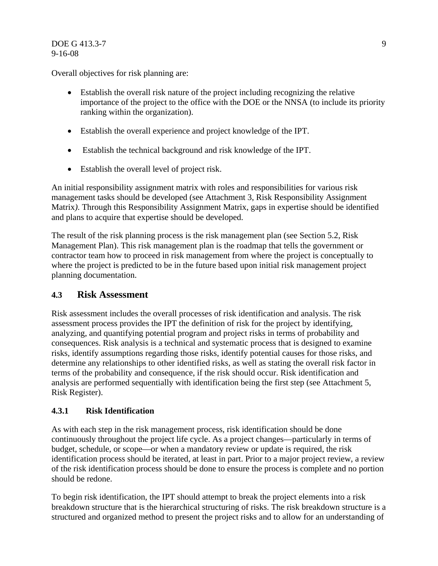Overall objectives for risk planning are:

- Establish the overall risk nature of the project including recognizing the relative importance of the project to the office with the DOE or the NNSA (to include its priority ranking within the organization).
- Establish the overall experience and project knowledge of the IPT.
- Establish the technical background and risk knowledge of the IPT.
- Establish the overall level of project risk.

An initial responsibility assignment matrix with roles and responsibilities for various risk management tasks should be developed (see Attachment 3, Risk Responsibility Assignment Matrix*)*. Through this Responsibility Assignment Matrix, gaps in expertise should be identified and plans to acquire that expertise should be developed.

The result of the risk planning process is the risk management plan (see Section 5.2, Risk Management Plan). This risk management plan is the roadmap that tells the government or contractor team how to proceed in risk management from where the project is conceptually to where the project is predicted to be in the future based upon initial risk management project planning documentation.

#### **4.3 Risk Assessment**

Risk assessment includes the overall processes of risk identification and analysis. The risk assessment process provides the IPT the definition of risk for the project by identifying, analyzing, and quantifying potential program and project risks in terms of probability and consequences. Risk analysis is a technical and systematic process that is designed to examine risks, identify assumptions regarding those risks, identify potential causes for those risks, and determine any relationships to other identified risks, as well as stating the overall risk factor in terms of the probability and consequence, if the risk should occur. Risk identification and analysis are performed sequentially with identification being the first step (see Attachment 5, Risk Register).

#### **4.3.1 Risk Identification**

As with each step in the risk management process, risk identification should be done continuously throughout the project life cycle. As a project changes—particularly in terms of budget, schedule, or scope—or when a mandatory review or update is required, the risk identification process should be iterated, at least in part. Prior to a major project review, a review of the risk identification process should be done to ensure the process is complete and no portion should be redone.

To begin risk identification, the IPT should attempt to break the project elements into a risk breakdown structure that is the hierarchical structuring of risks. The risk breakdown structure is a structured and organized method to present the project risks and to allow for an understanding of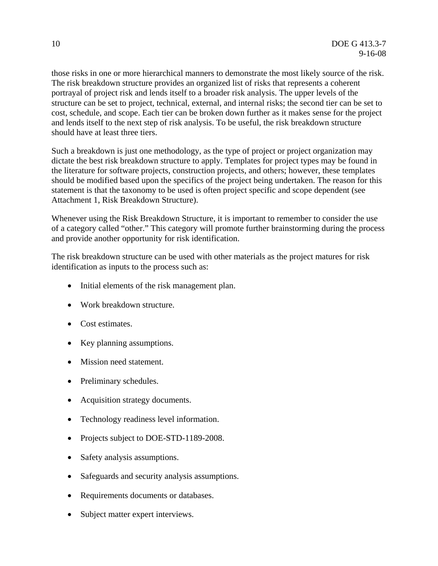those risks in one or more hierarchical manners to demonstrate the most likely source of the risk. The risk breakdown structure provides an organized list of risks that represents a coherent portrayal of project risk and lends itself to a broader risk analysis. The upper levels of the structure can be set to project, technical, external, and internal risks; the second tier can be set to cost, schedule, and scope. Each tier can be broken down further as it makes sense for the project and lends itself to the next step of risk analysis. To be useful, the risk breakdown structure should have at least three tiers.

Such a breakdown is just one methodology, as the type of project or project organization may dictate the best risk breakdown structure to apply. Templates for project types may be found in the literature for software projects, construction projects, and others; however, these templates should be modified based upon the specifics of the project being undertaken. The reason for this statement is that the taxonomy to be used is often project specific and scope dependent (see Attachment 1, Risk Breakdown Structure).

Whenever using the Risk Breakdown Structure, it is important to remember to consider the use of a category called "other." This category will promote further brainstorming during the process and provide another opportunity for risk identification.

The risk breakdown structure can be used with other materials as the project matures for risk identification as inputs to the process such as:

- Initial elements of the risk management plan.
- Work breakdown structure.
- Cost estimates.
- Key planning assumptions.
- Mission need statement.
- Preliminary schedules.
- Acquisition strategy documents.
- Technology readiness level information.
- Projects subject to DOE-STD-1189-2008.
- Safety analysis assumptions.
- Safeguards and security analysis assumptions.
- Requirements documents or databases.
- Subject matter expert interviews.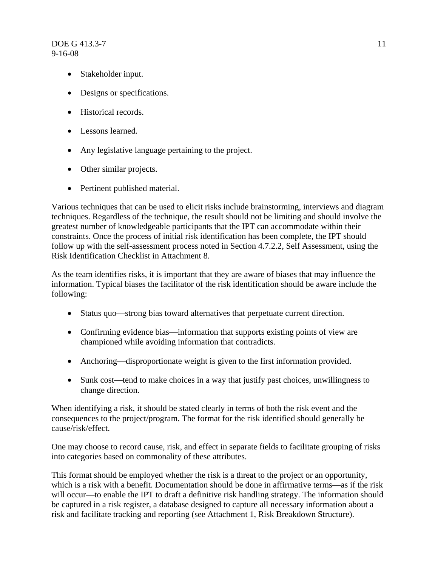#### $\overline{D}$ OE G 413.3-7 11 9-16-08

- Stakeholder input.
- Designs or specifications.
- Historical records
- Lessons learned.
- Any legislative language pertaining to the project.
- Other similar projects.
- Pertinent published material.

Various techniques that can be used to elicit risks include brainstorming, interviews and diagram techniques. Regardless of the technique, the result should not be limiting and should involve the greatest number of knowledgeable participants that the IPT can accommodate within their constraints. Once the process of initial risk identification has been complete, the IPT should follow up with the self-assessment process noted in Section 4.7.2.2, Self Assessment, using the Risk Identification Checklist in Attachment 8.

As the team identifies risks, it is important that they are aware of biases that may influence the information. Typical biases the facilitator of the risk identification should be aware include the following:

- Status quo—strong bias toward alternatives that perpetuate current direction.
- Confirming evidence bias—information that supports existing points of view are championed while avoiding information that contradicts.
- Anchoring—disproportionate weight is given to the first information provided.
- Sunk cost—tend to make choices in a way that justify past choices, unwillingness to change direction.

When identifying a risk, it should be stated clearly in terms of both the risk event and the consequences to the project/program. The format for the risk identified should generally be cause/risk/effect.

One may choose to record cause, risk, and effect in separate fields to facilitate grouping of risks into categories based on commonality of these attributes.

This format should be employed whether the risk is a threat to the project or an opportunity, which is a risk with a benefit. Documentation should be done in affirmative terms—as if the risk will occur—to enable the IPT to draft a definitive risk handling strategy. The information should be captured in a risk register, a database designed to capture all necessary information about a risk and facilitate tracking and reporting (see Attachment 1, Risk Breakdown Structure).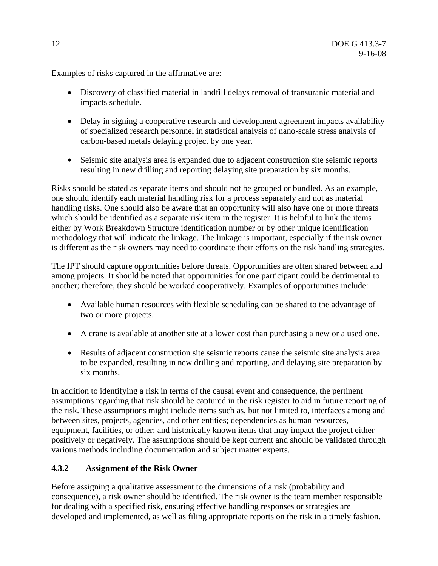Examples of risks captured in the affirmative are:

- Discovery of classified material in landfill delays removal of transuranic material and impacts schedule.
- Delay in signing a cooperative research and development agreement impacts availability of specialized research personnel in statistical analysis of nano-scale stress analysis of carbon-based metals delaying project by one year.
- Seismic site analysis area is expanded due to adjacent construction site seismic reports resulting in new drilling and reporting delaying site preparation by six months.

Risks should be stated as separate items and should not be grouped or bundled. As an example, one should identify each material handling risk for a process separately and not as material handling risks. One should also be aware that an opportunity will also have one or more threats which should be identified as a separate risk item in the register. It is helpful to link the items either by Work Breakdown Structure identification number or by other unique identification methodology that will indicate the linkage. The linkage is important, especially if the risk owner is different as the risk owners may need to coordinate their efforts on the risk handling strategies.

The IPT should capture opportunities before threats. Opportunities are often shared between and among projects. It should be noted that opportunities for one participant could be detrimental to another; therefore, they should be worked cooperatively. Examples of opportunities include:

- Available human resources with flexible scheduling can be shared to the advantage of two or more projects.
- A crane is available at another site at a lower cost than purchasing a new or a used one.
- Results of adjacent construction site seismic reports cause the seismic site analysis area to be expanded, resulting in new drilling and reporting, and delaying site preparation by six months.

In addition to identifying a risk in terms of the causal event and consequence, the pertinent assumptions regarding that risk should be captured in the risk register to aid in future reporting of the risk. These assumptions might include items such as, but not limited to, interfaces among and between sites, projects, agencies, and other entities; dependencies as human resources, equipment, facilities, or other; and historically known items that may impact the project either positively or negatively. The assumptions should be kept current and should be validated through various methods including documentation and subject matter experts.

#### **4.3.2 Assignment of the Risk Owner**

Before assigning a qualitative assessment to the dimensions of a risk (probability and consequence), a risk owner should be identified. The risk owner is the team member responsible for dealing with a specified risk, ensuring effective handling responses or strategies are developed and implemented, as well as filing appropriate reports on the risk in a timely fashion.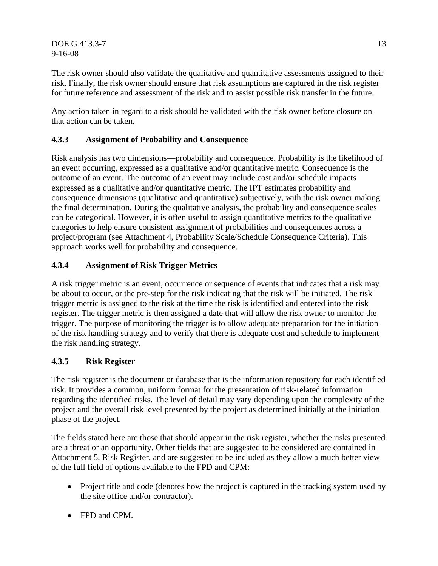The risk owner should also validate the qualitative and quantitative assessments assigned to their risk. Finally, the risk owner should ensure that risk assumptions are captured in the risk register for future reference and assessment of the risk and to assist possible risk transfer in the future.

Any action taken in regard to a risk should be validated with the risk owner before closure on that action can be taken.

#### **4.3.3 Assignment of Probability and Consequence**

Risk analysis has two dimensions—probability and consequence. Probability is the likelihood of an event occurring, expressed as a qualitative and/or quantitative metric. Consequence is the outcome of an event. The outcome of an event may include cost and/or schedule impacts expressed as a qualitative and/or quantitative metric. The IPT estimates probability and consequence dimensions (qualitative and quantitative) subjectively, with the risk owner making the final determination. During the qualitative analysis, the probability and consequence scales can be categorical. However, it is often useful to assign quantitative metrics to the qualitative categories to help ensure consistent assignment of probabilities and consequences across a project/program (see Attachment 4, Probability Scale/Schedule Consequence Criteria). This approach works well for probability and consequence.

#### **4.3.4 Assignment of Risk Trigger Metrics**

A risk trigger metric is an event, occurrence or sequence of events that indicates that a risk may be about to occur, or the pre-step for the risk indicating that the risk will be initiated. The risk trigger metric is assigned to the risk at the time the risk is identified and entered into the risk register. The trigger metric is then assigned a date that will allow the risk owner to monitor the trigger. The purpose of monitoring the trigger is to allow adequate preparation for the initiation of the risk handling strategy and to verify that there is adequate cost and schedule to implement the risk handling strategy.

#### **4.3.5 Risk Register**

The risk register is the document or database that is the information repository for each identified risk. It provides a common, uniform format for the presentation of risk-related information regarding the identified risks. The level of detail may vary depending upon the complexity of the project and the overall risk level presented by the project as determined initially at the initiation phase of the project.

The fields stated here are those that should appear in the risk register, whether the risks presented are a threat or an opportunity. Other fields that are suggested to be considered are contained in Attachment 5, Risk Register, and are suggested to be included as they allow a much better view of the full field of options available to the FPD and CPM:

- Project title and code (denotes how the project is captured in the tracking system used by the site office and/or contractor).
- FPD and CPM.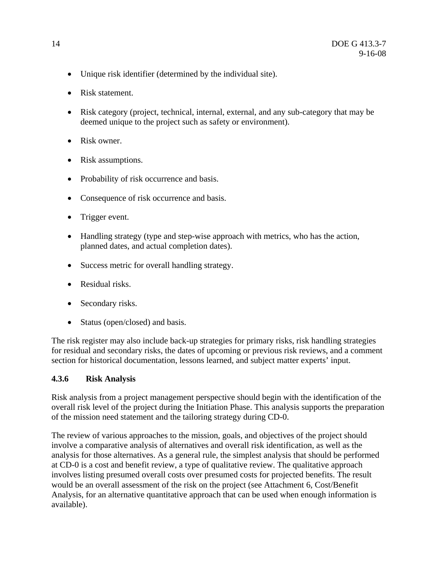- Unique risk identifier (determined by the individual site).
- Risk statement.
- Risk category (project, technical, internal, external, and any sub-category that may be deemed unique to the project such as safety or environment).
- Risk owner.
- Risk assumptions.
- Probability of risk occurrence and basis.
- Consequence of risk occurrence and basis.
- Trigger event.
- Handling strategy (type and step-wise approach with metrics, who has the action, planned dates, and actual completion dates).
- Success metric for overall handling strategy.
- Residual risks.
- Secondary risks.
- Status (open/closed) and basis.

The risk register may also include back-up strategies for primary risks, risk handling strategies for residual and secondary risks, the dates of upcoming or previous risk reviews, and a comment section for historical documentation, lessons learned, and subject matter experts' input.

#### **4.3.6 Risk Analysis**

Risk analysis from a project management perspective should begin with the identification of the overall risk level of the project during the Initiation Phase. This analysis supports the preparation of the mission need statement and the tailoring strategy during CD-0.

The review of various approaches to the mission, goals, and objectives of the project should involve a comparative analysis of alternatives and overall risk identification, as well as the analysis for those alternatives. As a general rule, the simplest analysis that should be performed at CD-0 is a cost and benefit review, a type of qualitative review. The qualitative approach involves listing presumed overall costs over presumed costs for projected benefits. The result would be an overall assessment of the risk on the project (see Attachment 6, Cost/Benefit Analysis, for an alternative quantitative approach that can be used when enough information is available).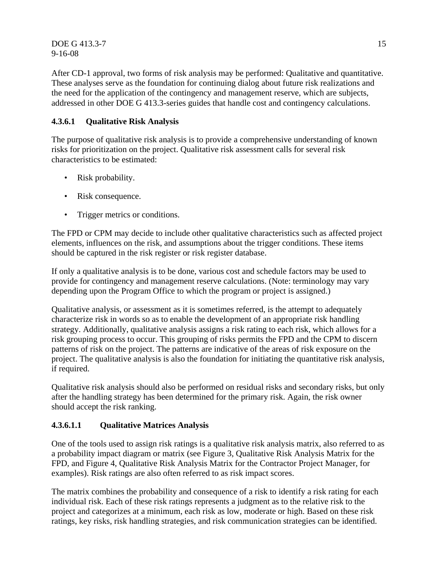DOE G 413.3-7 15 9-16-08

After CD-1 approval, two forms of risk analysis may be performed: Qualitative and quantitative. These analyses serve as the foundation for continuing dialog about future risk realizations and the need for the application of the contingency and management reserve, which are subjects, addressed in other DOE G 413.3-series guides that handle cost and contingency calculations.

#### **4.3.6.1 Qualitative Risk Analysis**

The purpose of qualitative risk analysis is to provide a comprehensive understanding of known risks for prioritization on the project. Qualitative risk assessment calls for several risk characteristics to be estimated:

- Risk probability.
- Risk consequence.
- Trigger metrics or conditions.

The FPD or CPM may decide to include other qualitative characteristics such as affected project elements, influences on the risk, and assumptions about the trigger conditions. These items should be captured in the risk register or risk register database.

If only a qualitative analysis is to be done, various cost and schedule factors may be used to provide for contingency and management reserve calculations. (Note: terminology may vary depending upon the Program Office to which the program or project is assigned.)

Qualitative analysis, or assessment as it is sometimes referred, is the attempt to adequately characterize risk in words so as to enable the development of an appropriate risk handling strategy. Additionally, qualitative analysis assigns a risk rating to each risk, which allows for a risk grouping process to occur. This grouping of risks permits the FPD and the CPM to discern patterns of risk on the project. The patterns are indicative of the areas of risk exposure on the project. The qualitative analysis is also the foundation for initiating the quantitative risk analysis, if required.

Qualitative risk analysis should also be performed on residual risks and secondary risks, but only after the handling strategy has been determined for the primary risk. Again, the risk owner should accept the risk ranking.

#### **4.3.6.1.1 Qualitative Matrices Analysis**

One of the tools used to assign risk ratings is a qualitative risk analysis matrix, also referred to as a probability impact diagram or matrix (see Figure 3, Qualitative Risk Analysis Matrix for the FPD*,* and Figure 4, Qualitative Risk Analysis Matrix for the Contractor Project Manager*,* for examples). Risk ratings are also often referred to as risk impact scores.

The matrix combines the probability and consequence of a risk to identify a risk rating for each individual risk. Each of these risk ratings represents a judgment as to the relative risk to the project and categorizes at a minimum, each risk as low, moderate or high. Based on these risk ratings, key risks, risk handling strategies, and risk communication strategies can be identified.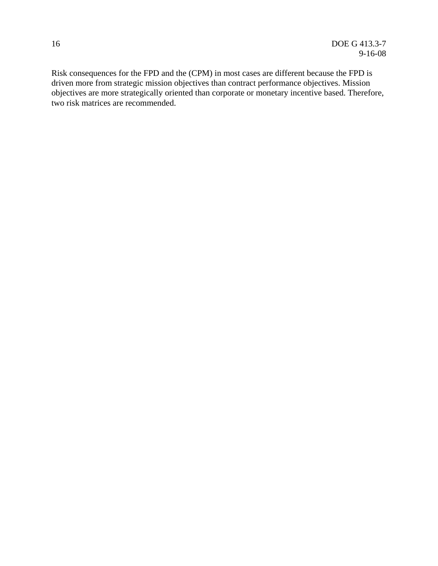Risk consequences for the FPD and the (CPM) in most cases are different because the FPD is driven more from strategic mission objectives than contract performance objectives. Mission objectives are more strategically oriented than corporate or monetary incentive based. Therefore, two risk matrices are recommended.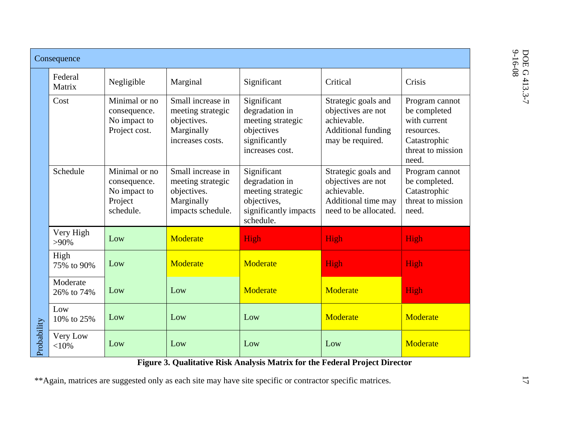|                                                                                                            | Consequence            |                                                                       |                                                                                          |                                                                                                         |                                                                                                          |                                                                                                            |  |  |
|------------------------------------------------------------------------------------------------------------|------------------------|-----------------------------------------------------------------------|------------------------------------------------------------------------------------------|---------------------------------------------------------------------------------------------------------|----------------------------------------------------------------------------------------------------------|------------------------------------------------------------------------------------------------------------|--|--|
|                                                                                                            | Federal<br>Matrix      | Negligible                                                            | Marginal                                                                                 | Significant                                                                                             | Critical                                                                                                 | Crisis                                                                                                     |  |  |
|                                                                                                            | Cost                   | Minimal or no<br>consequence.<br>No impact to<br>Project cost.        | Small increase in<br>meeting strategic<br>objectives.<br>Marginally<br>increases costs.  | Significant<br>degradation in<br>meeting strategic<br>objectives<br>significantly<br>increases cost.    | Strategic goals and<br>objectives are not<br>achievable.<br>Additional funding<br>may be required.       | Program cannot<br>be completed<br>with current<br>resources.<br>Catastrophic<br>threat to mission<br>need. |  |  |
|                                                                                                            | Schedule               | Minimal or no<br>consequence.<br>No impact to<br>Project<br>schedule. | Small increase in<br>meeting strategic<br>objectives.<br>Marginally<br>impacts schedule. | Significant<br>degradation in<br>meeting strategic<br>objectives,<br>significantly impacts<br>schedule. | Strategic goals and<br>objectives are not<br>achievable.<br>Additional time may<br>need to be allocated. | Program cannot<br>be completed.<br>Catastrophic<br>threat to mission<br>need.                              |  |  |
|                                                                                                            | Very High<br>$>90\%$   | Low                                                                   | Moderate                                                                                 | High                                                                                                    | High                                                                                                     | High                                                                                                       |  |  |
|                                                                                                            | High<br>75% to 90%     | Low                                                                   | Moderate                                                                                 | Moderate                                                                                                | High                                                                                                     | High                                                                                                       |  |  |
|                                                                                                            | Moderate<br>26% to 74% | Low                                                                   | Low                                                                                      | Moderate                                                                                                | Moderate                                                                                                 | High                                                                                                       |  |  |
|                                                                                                            | Low<br>10% to 25%      | Low                                                                   | Low                                                                                      | Low                                                                                                     | Moderate                                                                                                 | Moderate                                                                                                   |  |  |
| Probability                                                                                                | Very Low<br>${<}10\%$  | Low                                                                   | Low                                                                                      | Low                                                                                                     | Low                                                                                                      | Moderate                                                                                                   |  |  |
|                                                                                                            |                        |                                                                       |                                                                                          | Figure 3. Qualitative Risk Analysis Matrix for the Federal Project Director                             |                                                                                                          |                                                                                                            |  |  |
| ** Again, matrices are suggested only as each site may have site specific or contractor specific matrices. |                        |                                                                       |                                                                                          |                                                                                                         |                                                                                                          |                                                                                                            |  |  |

# DOE G 413.3-7<br>9-16-08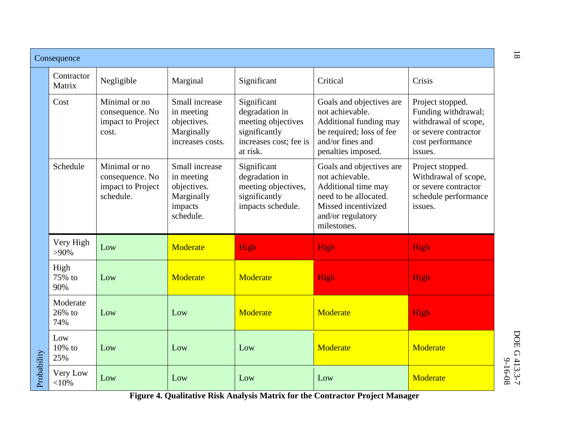|             | Consequence                  |                                                                    |                                                                                   |                                                                                                            |                                                                                                                                                        |                                                                                                                        |  |  |  |
|-------------|------------------------------|--------------------------------------------------------------------|-----------------------------------------------------------------------------------|------------------------------------------------------------------------------------------------------------|--------------------------------------------------------------------------------------------------------------------------------------------------------|------------------------------------------------------------------------------------------------------------------------|--|--|--|
|             | Contractor<br>Matrix         | Negligible                                                         | Marginal                                                                          | Significant                                                                                                | Critical                                                                                                                                               | Crisis                                                                                                                 |  |  |  |
|             | Cost                         | Minimal or no<br>consequence. No<br>impact to Project<br>cost.     | Small increase<br>in meeting<br>objectives.<br>Marginally<br>increases costs.     | Significant<br>degradation in<br>meeting objectives<br>significantly<br>increases cost; fee is<br>at risk. | Goals and objectives are<br>not achievable.<br>Additional funding may<br>be required; loss of fee<br>and/or fines and<br>penalties imposed.            | Project stopped.<br>Funding withdrawal;<br>withdrawal of scope,<br>or severe contractor<br>cost performance<br>issues. |  |  |  |
|             | Schedule                     | Minimal or no<br>consequence. No<br>impact to Project<br>schedule. | Small increase<br>in meeting<br>objectives.<br>Marginally<br>impacts<br>schedule. | Significant<br>degradation in<br>meeting objectives,<br>significantly<br>impacts schedule.                 | Goals and objectives are<br>not achievable.<br>Additional time may<br>need to be allocated.<br>Missed incentivized<br>and/or regulatory<br>milestones. | Project stopped.<br>Withdrawal of scope,<br>or severe contractor<br>schedule performance<br>issues.                    |  |  |  |
|             | Very High<br>$>90\%$         | Low                                                                | Moderate                                                                          | High                                                                                                       | High                                                                                                                                                   | High                                                                                                                   |  |  |  |
|             | High<br>75% to<br>90%        | Low                                                                | Moderate                                                                          | Moderate                                                                                                   | High                                                                                                                                                   | High                                                                                                                   |  |  |  |
|             | Moderate<br>$26\%$ to<br>74% | Low                                                                | Low                                                                               | Moderate                                                                                                   | Moderate                                                                                                                                               | High                                                                                                                   |  |  |  |
|             | Low<br>$10\%$ to<br>25%      | Low                                                                | Low                                                                               | Low                                                                                                        | Moderate                                                                                                                                               | Moderate                                                                                                               |  |  |  |
| Probability | Very Low<br><10%             | Low                                                                | Low                                                                               | Low                                                                                                        | Low                                                                                                                                                    | Moderate                                                                                                               |  |  |  |

**Figure 4. Qualitative Risk Analysis Matrix for the Contractor Project Manager**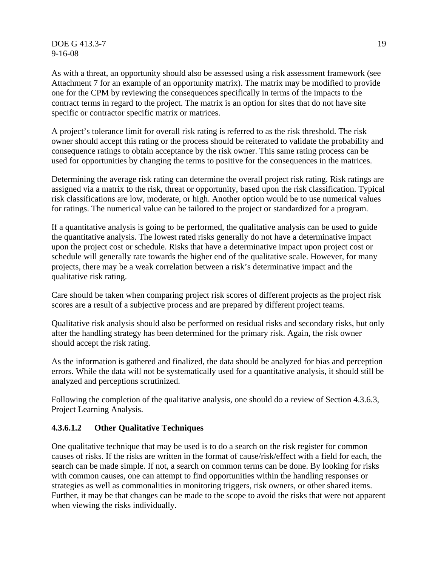DOE G 413.3-7 19 9-16-08

As with a threat, an opportunity should also be assessed using a risk assessment framework (see Attachment 7 for an example of an opportunity matrix). The matrix may be modified to provide one for the CPM by reviewing the consequences specifically in terms of the impacts to the contract terms in regard to the project. The matrix is an option for sites that do not have site specific or contractor specific matrix or matrices.

A project's tolerance limit for overall risk rating is referred to as the risk threshold. The risk owner should accept this rating or the process should be reiterated to validate the probability and consequence ratings to obtain acceptance by the risk owner. This same rating process can be used for opportunities by changing the terms to positive for the consequences in the matrices.

Determining the average risk rating can determine the overall project risk rating. Risk ratings are assigned via a matrix to the risk, threat or opportunity, based upon the risk classification. Typical risk classifications are low, moderate, or high. Another option would be to use numerical values for ratings. The numerical value can be tailored to the project or standardized for a program.

If a quantitative analysis is going to be performed, the qualitative analysis can be used to guide the quantitative analysis. The lowest rated risks generally do not have a determinative impact upon the project cost or schedule. Risks that have a determinative impact upon project cost or schedule will generally rate towards the higher end of the qualitative scale. However, for many projects, there may be a weak correlation between a risk's determinative impact and the qualitative risk rating.

Care should be taken when comparing project risk scores of different projects as the project risk scores are a result of a subjective process and are prepared by different project teams.

Qualitative risk analysis should also be performed on residual risks and secondary risks, but only after the handling strategy has been determined for the primary risk. Again, the risk owner should accept the risk rating.

As the information is gathered and finalized, the data should be analyzed for bias and perception errors. While the data will not be systematically used for a quantitative analysis, it should still be analyzed and perceptions scrutinized.

Following the completion of the qualitative analysis, one should do a review of Section 4.3.6.3, Project Learning Analysis.

#### **4.3.6.1.2 Other Qualitative Techniques**

One qualitative technique that may be used is to do a search on the risk register for common causes of risks. If the risks are written in the format of cause/risk/effect with a field for each, the search can be made simple. If not, a search on common terms can be done. By looking for risks with common causes, one can attempt to find opportunities within the handling responses or strategies as well as commonalities in monitoring triggers, risk owners, or other shared items. Further, it may be that changes can be made to the scope to avoid the risks that were not apparent when viewing the risks individually.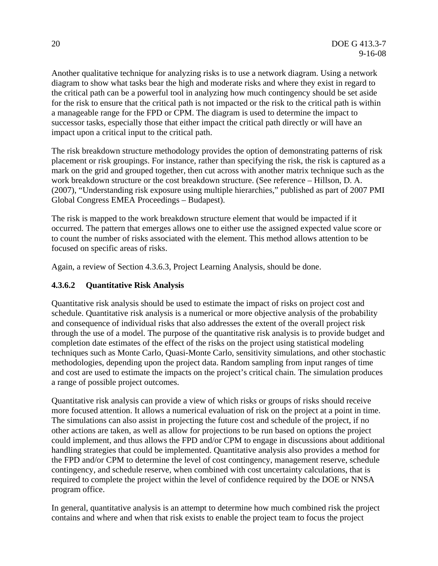Another qualitative technique for analyzing risks is to use a network diagram. Using a network diagram to show what tasks bear the high and moderate risks and where they exist in regard to the critical path can be a powerful tool in analyzing how much contingency should be set aside for the risk to ensure that the critical path is not impacted or the risk to the critical path is within a manageable range for the FPD or CPM. The diagram is used to determine the impact to successor tasks, especially those that either impact the critical path directly or will have an impact upon a critical input to the critical path.

The risk breakdown structure methodology provides the option of demonstrating patterns of risk placement or risk groupings. For instance, rather than specifying the risk, the risk is captured as a mark on the grid and grouped together, then cut across with another matrix technique such as the work breakdown structure or the cost breakdown structure. (See reference – Hillson, D. A. (2007), "Understanding risk exposure using multiple hierarchies," published as part of 2007 PMI Global Congress EMEA Proceedings – Budapest).

The risk is mapped to the work breakdown structure element that would be impacted if it occurred. The pattern that emerges allows one to either use the assigned expected value score or to count the number of risks associated with the element. This method allows attention to be focused on specific areas of risks.

Again, a review of Section 4.3.6.3, Project Learning Analysis, should be done.

#### **4.3.6.2 Quantitative Risk Analysis**

Quantitative risk analysis should be used to estimate the impact of risks on project cost and schedule. Quantitative risk analysis is a numerical or more objective analysis of the probability and consequence of individual risks that also addresses the extent of the overall project risk through the use of a model. The purpose of the quantitative risk analysis is to provide budget and completion date estimates of the effect of the risks on the project using statistical modeling techniques such as Monte Carlo, Quasi-Monte Carlo, sensitivity simulations, and other stochastic methodologies, depending upon the project data. Random sampling from input ranges of time and cost are used to estimate the impacts on the project's critical chain. The simulation produces a range of possible project outcomes.

Quantitative risk analysis can provide a view of which risks or groups of risks should receive more focused attention. It allows a numerical evaluation of risk on the project at a point in time. The simulations can also assist in projecting the future cost and schedule of the project, if no other actions are taken, as well as allow for projections to be run based on options the project could implement, and thus allows the FPD and/or CPM to engage in discussions about additional handling strategies that could be implemented. Quantitative analysis also provides a method for the FPD and/or CPM to determine the level of cost contingency, management reserve, schedule contingency, and schedule reserve, when combined with cost uncertainty calculations, that is required to complete the project within the level of confidence required by the DOE or NNSA program office.

In general, quantitative analysis is an attempt to determine how much combined risk the project contains and where and when that risk exists to enable the project team to focus the project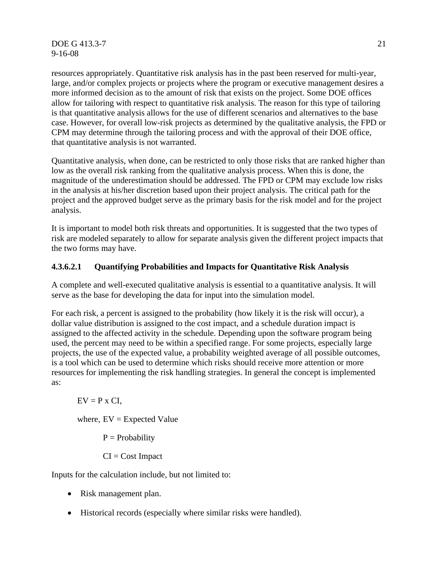DOE G 413.3-7 21 9-16-08

resources appropriately. Quantitative risk analysis has in the past been reserved for multi-year, large, and/or complex projects or projects where the program or executive management desires a more informed decision as to the amount of risk that exists on the project. Some DOE offices allow for tailoring with respect to quantitative risk analysis. The reason for this type of tailoring is that quantitative analysis allows for the use of different scenarios and alternatives to the base case. However, for overall low-risk projects as determined by the qualitative analysis, the FPD or CPM may determine through the tailoring process and with the approval of their DOE office, that quantitative analysis is not warranted.

Quantitative analysis, when done, can be restricted to only those risks that are ranked higher than low as the overall risk ranking from the qualitative analysis process. When this is done, the magnitude of the underestimation should be addressed. The FPD or CPM may exclude low risks in the analysis at his/her discretion based upon their project analysis. The critical path for the project and the approved budget serve as the primary basis for the risk model and for the project analysis.

It is important to model both risk threats and opportunities. It is suggested that the two types of risk are modeled separately to allow for separate analysis given the different project impacts that the two forms may have.

#### **4.3.6.2.1 Quantifying Probabilities and Impacts for Quantitative Risk Analysis**

A complete and well-executed qualitative analysis is essential to a quantitative analysis. It will serve as the base for developing the data for input into the simulation model.

For each risk, a percent is assigned to the probability (how likely it is the risk will occur), a dollar value distribution is assigned to the cost impact, and a schedule duration impact is assigned to the affected activity in the schedule. Depending upon the software program being used, the percent may need to be within a specified range. For some projects, especially large projects, the use of the expected value, a probability weighted average of all possible outcomes, is a tool which can be used to determine which risks should receive more attention or more resources for implementing the risk handling strategies. In general the concept is implemented as:

 $EV = P x CI$ ,

where,  $EV = Expected Value$ 

 $P = Probability$ 

 $CI = Cost Impact$ 

Inputs for the calculation include, but not limited to:

- Risk management plan.
- Historical records (especially where similar risks were handled).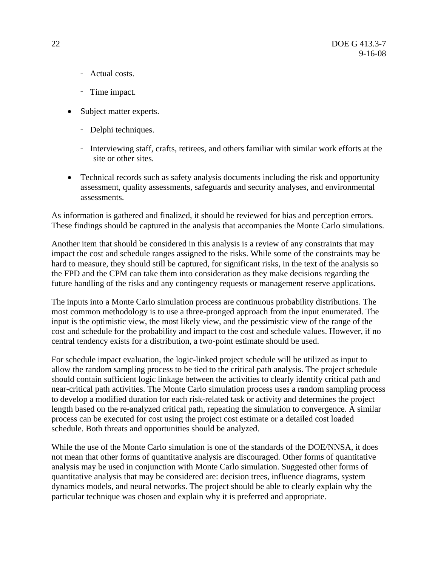- Actual costs.
- Time impact.
- Subject matter experts.
	- Delphi techniques.
	- Interviewing staff, crafts, retirees, and others familiar with similar work efforts at the site or other sites.
- Technical records such as safety analysis documents including the risk and opportunity assessment, quality assessments, safeguards and security analyses, and environmental assessments.

As information is gathered and finalized, it should be reviewed for bias and perception errors. These findings should be captured in the analysis that accompanies the Monte Carlo simulations.

Another item that should be considered in this analysis is a review of any constraints that may impact the cost and schedule ranges assigned to the risks. While some of the constraints may be hard to measure, they should still be captured, for significant risks, in the text of the analysis so the FPD and the CPM can take them into consideration as they make decisions regarding the future handling of the risks and any contingency requests or management reserve applications.

The inputs into a Monte Carlo simulation process are continuous probability distributions. The most common methodology is to use a three-pronged approach from the input enumerated. The input is the optimistic view, the most likely view, and the pessimistic view of the range of the cost and schedule for the probability and impact to the cost and schedule values. However, if no central tendency exists for a distribution, a two-point estimate should be used.

For schedule impact evaluation, the logic-linked project schedule will be utilized as input to allow the random sampling process to be tied to the critical path analysis. The project schedule should contain sufficient logic linkage between the activities to clearly identify critical path and near-critical path activities. The Monte Carlo simulation process uses a random sampling process to develop a modified duration for each risk-related task or activity and determines the project length based on the re-analyzed critical path, repeating the simulation to convergence. A similar process can be executed for cost using the project cost estimate or a detailed cost loaded schedule. Both threats and opportunities should be analyzed.

While the use of the Monte Carlo simulation is one of the standards of the DOE/NNSA, it does not mean that other forms of quantitative analysis are discouraged. Other forms of quantitative analysis may be used in conjunction with Monte Carlo simulation. Suggested other forms of quantitative analysis that may be considered are: decision trees, influence diagrams, system dynamics models, and neural networks. The project should be able to clearly explain why the particular technique was chosen and explain why it is preferred and appropriate.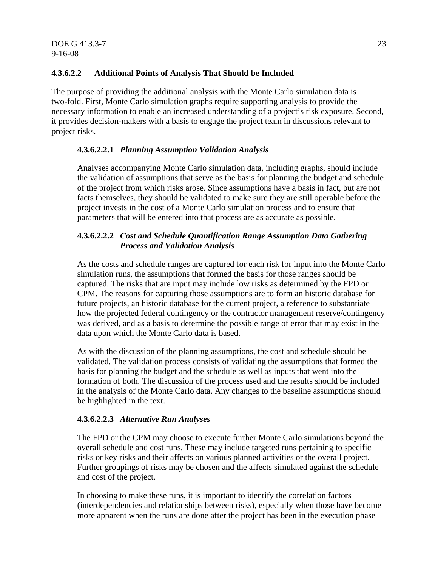#### **4.3.6.2.2 Additional Points of Analysis That Should be Included**

The purpose of providing the additional analysis with the Monte Carlo simulation data is two-fold. First, Monte Carlo simulation graphs require supporting analysis to provide the necessary information to enable an increased understanding of a project's risk exposure. Second, it provides decision-makers with a basis to engage the project team in discussions relevant to project risks.

#### **4.3.6.2.2.1** *Planning Assumption Validation Analysis*

Analyses accompanying Monte Carlo simulation data, including graphs, should include the validation of assumptions that serve as the basis for planning the budget and schedule of the project from which risks arose. Since assumptions have a basis in fact, but are not facts themselves, they should be validated to make sure they are still operable before the project invests in the cost of a Monte Carlo simulation process and to ensure that parameters that will be entered into that process are as accurate as possible.

#### **4.3.6.2.2.2** *Cost and Schedule Quantification Range Assumption Data Gathering Process and Validation Analysis*

As the costs and schedule ranges are captured for each risk for input into the Monte Carlo simulation runs, the assumptions that formed the basis for those ranges should be captured. The risks that are input may include low risks as determined by the FPD or CPM. The reasons for capturing those assumptions are to form an historic database for future projects, an historic database for the current project, a reference to substantiate how the projected federal contingency or the contractor management reserve/contingency was derived, and as a basis to determine the possible range of error that may exist in the data upon which the Monte Carlo data is based.

As with the discussion of the planning assumptions, the cost and schedule should be validated. The validation process consists of validating the assumptions that formed the basis for planning the budget and the schedule as well as inputs that went into the formation of both. The discussion of the process used and the results should be included in the analysis of the Monte Carlo data. Any changes to the baseline assumptions should be highlighted in the text.

#### **4.3.6.2.2.3** *Alternative Run Analyses*

The FPD or the CPM may choose to execute further Monte Carlo simulations beyond the overall schedule and cost runs. These may include targeted runs pertaining to specific risks or key risks and their affects on various planned activities or the overall project. Further groupings of risks may be chosen and the affects simulated against the schedule and cost of the project.

In choosing to make these runs, it is important to identify the correlation factors (interdependencies and relationships between risks), especially when those have become more apparent when the runs are done after the project has been in the execution phase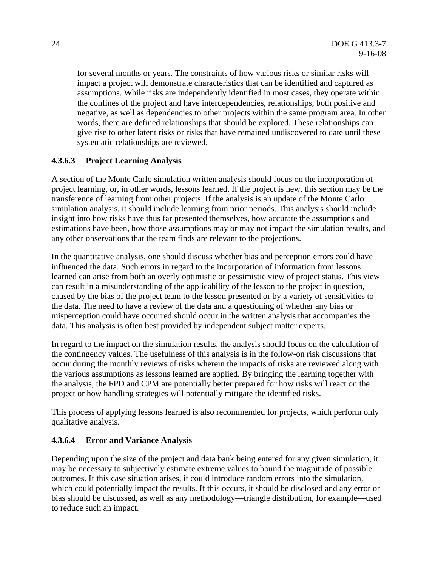for several months or years. The constraints of how various risks or similar risks will impact a project will demonstrate characteristics that can be identified and captured as assumptions. While risks are independently identified in most cases, they operate within the confines of the project and have interdependencies, relationships, both positive and negative, as well as dependencies to other projects within the same program area. In other words, there are defined relationships that should be explored. These relationships can give rise to other latent risks or risks that have remained undiscovered to date until these systematic relationships are reviewed.

#### **4.3.6.3 Project Learning Analysis**

A section of the Monte Carlo simulation written analysis should focus on the incorporation of project learning, or, in other words, lessons learned. If the project is new, this section may be the transference of learning from other projects. If the analysis is an update of the Monte Carlo simulation analysis, it should include learning from prior periods. This analysis should include insight into how risks have thus far presented themselves, how accurate the assumptions and estimations have been, how those assumptions may or may not impact the simulation results, and any other observations that the team finds are relevant to the projections.

In the quantitative analysis, one should discuss whether bias and perception errors could have influenced the data. Such errors in regard to the incorporation of information from lessons learned can arise from both an overly optimistic or pessimistic view of project status. This view can result in a misunderstanding of the applicability of the lesson to the project in question, caused by the bias of the project team to the lesson presented or by a variety of sensitivities to the data. The need to have a review of the data and a questioning of whether any bias or misperception could have occurred should occur in the written analysis that accompanies the data. This analysis is often best provided by independent subject matter experts.

In regard to the impact on the simulation results, the analysis should focus on the calculation of the contingency values. The usefulness of this analysis is in the follow-on risk discussions that occur during the monthly reviews of risks wherein the impacts of risks are reviewed along with the various assumptions as lessons learned are applied. By bringing the learning together with the analysis, the FPD and CPM are potentially better prepared for how risks will react on the project or how handling strategies will potentially mitigate the identified risks.

This process of applying lessons learned is also recommended for projects, which perform only qualitative analysis.

#### **4.3.6.4 Error and Variance Analysis**

Depending upon the size of the project and data bank being entered for any given simulation, it may be necessary to subjectively estimate extreme values to bound the magnitude of possible outcomes. If this case situation arises, it could introduce random errors into the simulation, which could potentially impact the results. If this occurs, it should be disclosed and any error or bias should be discussed, as well as any methodology—triangle distribution, for example—used to reduce such an impact.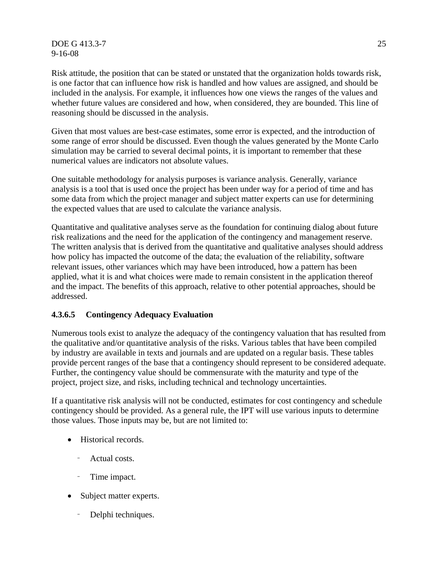DOE G 413.3-7 25 9-16-08

Risk attitude, the position that can be stated or unstated that the organization holds towards risk, is one factor that can influence how risk is handled and how values are assigned, and should be included in the analysis. For example, it influences how one views the ranges of the values and whether future values are considered and how, when considered, they are bounded. This line of reasoning should be discussed in the analysis.

Given that most values are best-case estimates, some error is expected, and the introduction of some range of error should be discussed. Even though the values generated by the Monte Carlo simulation may be carried to several decimal points, it is important to remember that these numerical values are indicators not absolute values.

One suitable methodology for analysis purposes is variance analysis. Generally, variance analysis is a tool that is used once the project has been under way for a period of time and has some data from which the project manager and subject matter experts can use for determining the expected values that are used to calculate the variance analysis.

Quantitative and qualitative analyses serve as the foundation for continuing dialog about future risk realizations and the need for the application of the contingency and management reserve. The written analysis that is derived from the quantitative and qualitative analyses should address how policy has impacted the outcome of the data; the evaluation of the reliability, software relevant issues, other variances which may have been introduced, how a pattern has been applied, what it is and what choices were made to remain consistent in the application thereof and the impact. The benefits of this approach, relative to other potential approaches, should be addressed.

#### **4.3.6.5 Contingency Adequacy Evaluation**

Numerous tools exist to analyze the adequacy of the contingency valuation that has resulted from the qualitative and/or quantitative analysis of the risks. Various tables that have been compiled by industry are available in texts and journals and are updated on a regular basis. These tables provide percent ranges of the base that a contingency should represent to be considered adequate. Further, the contingency value should be commensurate with the maturity and type of the project, project size, and risks, including technical and technology uncertainties.

If a quantitative risk analysis will not be conducted, estimates for cost contingency and schedule contingency should be provided. As a general rule, the IPT will use various inputs to determine those values. Those inputs may be, but are not limited to:

- Historical records.
	- Actual costs.
	- Time impact.
- Subject matter experts.
	- Delphi techniques.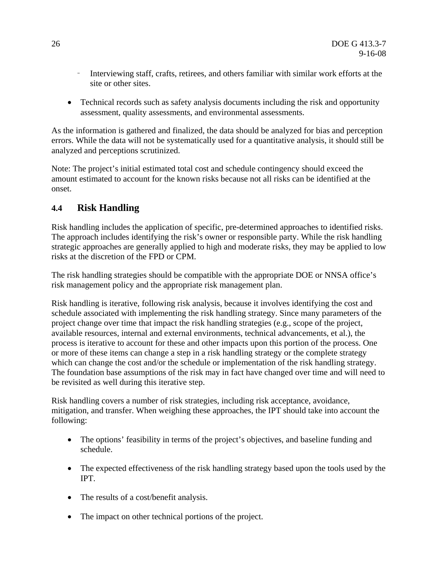- Interviewing staff, crafts, retirees, and others familiar with similar work efforts at the site or other sites.
- Technical records such as safety analysis documents including the risk and opportunity assessment, quality assessments, and environmental assessments.

As the information is gathered and finalized, the data should be analyzed for bias and perception errors. While the data will not be systematically used for a quantitative analysis, it should still be analyzed and perceptions scrutinized.

Note: The project's initial estimated total cost and schedule contingency should exceed the amount estimated to account for the known risks because not all risks can be identified at the onset.

#### **4.4 Risk Handling**

Risk handling includes the application of specific, pre-determined approaches to identified risks. The approach includes identifying the risk's owner or responsible party. While the risk handling strategic approaches are generally applied to high and moderate risks, they may be applied to low risks at the discretion of the FPD or CPM.

The risk handling strategies should be compatible with the appropriate DOE or NNSA office's risk management policy and the appropriate risk management plan.

Risk handling is iterative, following risk analysis, because it involves identifying the cost and schedule associated with implementing the risk handling strategy. Since many parameters of the project change over time that impact the risk handling strategies (e.g., scope of the project, available resources, internal and external environments, technical advancements, et al.), the process is iterative to account for these and other impacts upon this portion of the process. One or more of these items can change a step in a risk handling strategy or the complete strategy which can change the cost and/or the schedule or implementation of the risk handling strategy. The foundation base assumptions of the risk may in fact have changed over time and will need to be revisited as well during this iterative step.

Risk handling covers a number of risk strategies, including risk acceptance, avoidance, mitigation, and transfer. When weighing these approaches, the IPT should take into account the following:

- The options' feasibility in terms of the project's objectives, and baseline funding and schedule.
- The expected effectiveness of the risk handling strategy based upon the tools used by the IPT.
- The results of a cost/benefit analysis.
- The impact on other technical portions of the project.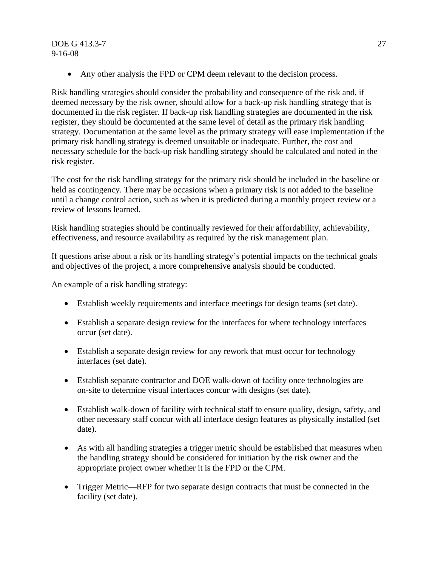#### DOE G 413.3-7 27 9-16-08

• Any other analysis the FPD or CPM deem relevant to the decision process.

Risk handling strategies should consider the probability and consequence of the risk and, if deemed necessary by the risk owner, should allow for a back-up risk handling strategy that is documented in the risk register. If back-up risk handling strategies are documented in the risk register, they should be documented at the same level of detail as the primary risk handling strategy. Documentation at the same level as the primary strategy will ease implementation if the primary risk handling strategy is deemed unsuitable or inadequate. Further, the cost and necessary schedule for the back-up risk handling strategy should be calculated and noted in the risk register.

The cost for the risk handling strategy for the primary risk should be included in the baseline or held as contingency. There may be occasions when a primary risk is not added to the baseline until a change control action, such as when it is predicted during a monthly project review or a review of lessons learned.

Risk handling strategies should be continually reviewed for their affordability, achievability, effectiveness, and resource availability as required by the risk management plan.

If questions arise about a risk or its handling strategy's potential impacts on the technical goals and objectives of the project, a more comprehensive analysis should be conducted.

An example of a risk handling strategy:

- Establish weekly requirements and interface meetings for design teams (set date).
- Establish a separate design review for the interfaces for where technology interfaces occur (set date).
- Establish a separate design review for any rework that must occur for technology interfaces (set date).
- Establish separate contractor and DOE walk-down of facility once technologies are on-site to determine visual interfaces concur with designs (set date).
- Establish walk-down of facility with technical staff to ensure quality, design, safety, and other necessary staff concur with all interface design features as physically installed (set date).
- As with all handling strategies a trigger metric should be established that measures when the handling strategy should be considered for initiation by the risk owner and the appropriate project owner whether it is the FPD or the CPM.
- Trigger Metric—RFP for two separate design contracts that must be connected in the facility (set date).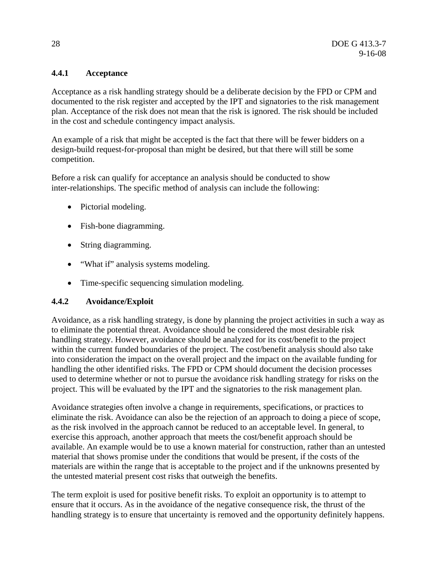#### **4.4.1 Acceptance**

Acceptance as a risk handling strategy should be a deliberate decision by the FPD or CPM and documented to the risk register and accepted by the IPT and signatories to the risk management plan. Acceptance of the risk does not mean that the risk is ignored. The risk should be included in the cost and schedule contingency impact analysis.

An example of a risk that might be accepted is the fact that there will be fewer bidders on a design-build request-for-proposal than might be desired, but that there will still be some competition.

Before a risk can qualify for acceptance an analysis should be conducted to show inter-relationships. The specific method of analysis can include the following:

- Pictorial modeling.
- Fish-bone diagramming.
- String diagramming.
- "What if" analysis systems modeling.
- Time-specific sequencing simulation modeling.

#### **4.4.2 Avoidance/Exploit**

Avoidance, as a risk handling strategy, is done by planning the project activities in such a way as to eliminate the potential threat. Avoidance should be considered the most desirable risk handling strategy. However, avoidance should be analyzed for its cost/benefit to the project within the current funded boundaries of the project. The cost/benefit analysis should also take into consideration the impact on the overall project and the impact on the available funding for handling the other identified risks. The FPD or CPM should document the decision processes used to determine whether or not to pursue the avoidance risk handling strategy for risks on the project. This will be evaluated by the IPT and the signatories to the risk management plan.

Avoidance strategies often involve a change in requirements, specifications, or practices to eliminate the risk. Avoidance can also be the rejection of an approach to doing a piece of scope, as the risk involved in the approach cannot be reduced to an acceptable level. In general, to exercise this approach, another approach that meets the cost/benefit approach should be available. An example would be to use a known material for construction, rather than an untested material that shows promise under the conditions that would be present, if the costs of the materials are within the range that is acceptable to the project and if the unknowns presented by the untested material present cost risks that outweigh the benefits.

The term exploit is used for positive benefit risks. To exploit an opportunity is to attempt to ensure that it occurs. As in the avoidance of the negative consequence risk, the thrust of the handling strategy is to ensure that uncertainty is removed and the opportunity definitely happens.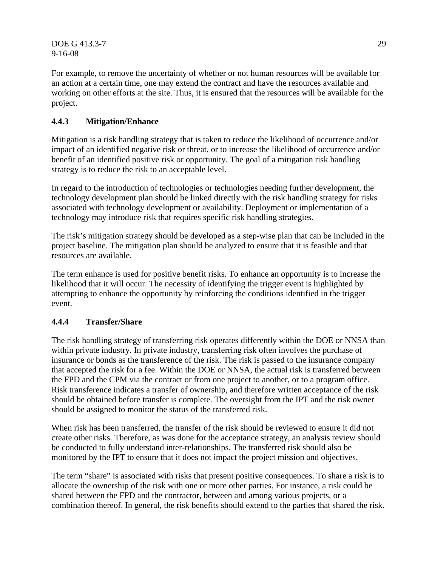DOE G 413.3-7 29 9-16-08

For example, to remove the uncertainty of whether or not human resources will be available for an action at a certain time, one may extend the contract and have the resources available and working on other efforts at the site. Thus, it is ensured that the resources will be available for the project.

#### **4.4.3 Mitigation/Enhance**

Mitigation is a risk handling strategy that is taken to reduce the likelihood of occurrence and/or impact of an identified negative risk or threat, or to increase the likelihood of occurrence and/or benefit of an identified positive risk or opportunity. The goal of a mitigation risk handling strategy is to reduce the risk to an acceptable level.

In regard to the introduction of technologies or technologies needing further development, the technology development plan should be linked directly with the risk handling strategy for risks associated with technology development or availability. Deployment or implementation of a technology may introduce risk that requires specific risk handling strategies.

The risk's mitigation strategy should be developed as a step-wise plan that can be included in the project baseline. The mitigation plan should be analyzed to ensure that it is feasible and that resources are available.

The term enhance is used for positive benefit risks. To enhance an opportunity is to increase the likelihood that it will occur. The necessity of identifying the trigger event is highlighted by attempting to enhance the opportunity by reinforcing the conditions identified in the trigger event.

#### **4.4.4 Transfer/Share**

The risk handling strategy of transferring risk operates differently within the DOE or NNSA than within private industry. In private industry, transferring risk often involves the purchase of insurance or bonds as the transference of the risk. The risk is passed to the insurance company that accepted the risk for a fee. Within the DOE or NNSA, the actual risk is transferred between the FPD and the CPM via the contract or from one project to another, or to a program office. Risk transference indicates a transfer of ownership, and therefore written acceptance of the risk should be obtained before transfer is complete. The oversight from the IPT and the risk owner should be assigned to monitor the status of the transferred risk.

When risk has been transferred, the transfer of the risk should be reviewed to ensure it did not create other risks. Therefore, as was done for the acceptance strategy, an analysis review should be conducted to fully understand inter-relationships. The transferred risk should also be monitored by the IPT to ensure that it does not impact the project mission and objectives.

The term "share" is associated with risks that present positive consequences. To share a risk is to allocate the ownership of the risk with one or more other parties. For instance, a risk could be shared between the FPD and the contractor, between and among various projects, or a combination thereof. In general, the risk benefits should extend to the parties that shared the risk.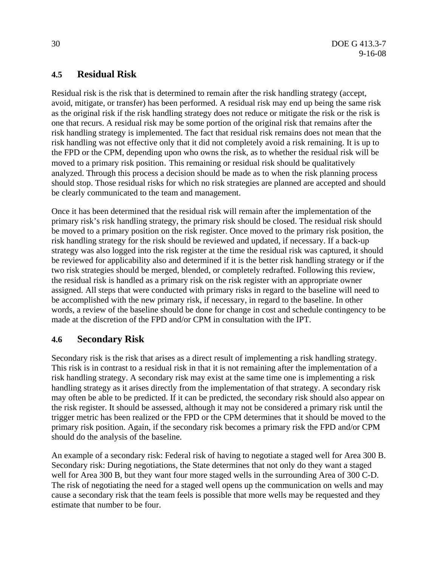#### **4.5 Residual Risk**

Residual risk is the risk that is determined to remain after the risk handling strategy (accept, avoid, mitigate, or transfer) has been performed. A residual risk may end up being the same risk as the original risk if the risk handling strategy does not reduce or mitigate the risk or the risk is one that recurs. A residual risk may be some portion of the original risk that remains after the risk handling strategy is implemented. The fact that residual risk remains does not mean that the risk handling was not effective only that it did not completely avoid a risk remaining. It is up to the FPD or the CPM, depending upon who owns the risk, as to whether the residual risk will be moved to a primary risk position. This remaining or residual risk should be qualitatively analyzed. Through this process a decision should be made as to when the risk planning process should stop. Those residual risks for which no risk strategies are planned are accepted and should be clearly communicated to the team and management.

Once it has been determined that the residual risk will remain after the implementation of the primary risk's risk handling strategy, the primary risk should be closed. The residual risk should be moved to a primary position on the risk register. Once moved to the primary risk position, the risk handling strategy for the risk should be reviewed and updated, if necessary. If a back-up strategy was also logged into the risk register at the time the residual risk was captured, it should be reviewed for applicability also and determined if it is the better risk handling strategy or if the two risk strategies should be merged, blended, or completely redrafted. Following this review, the residual risk is handled as a primary risk on the risk register with an appropriate owner assigned. All steps that were conducted with primary risks in regard to the baseline will need to be accomplished with the new primary risk, if necessary, in regard to the baseline. In other words, a review of the baseline should be done for change in cost and schedule contingency to be made at the discretion of the FPD and/or CPM in consultation with the IPT.

#### **4.6 Secondary Risk**

Secondary risk is the risk that arises as a direct result of implementing a risk handling strategy. This risk is in contrast to a residual risk in that it is not remaining after the implementation of a risk handling strategy. A secondary risk may exist at the same time one is implementing a risk handling strategy as it arises directly from the implementation of that strategy. A secondary risk may often be able to be predicted. If it can be predicted, the secondary risk should also appear on the risk register. It should be assessed, although it may not be considered a primary risk until the trigger metric has been realized or the FPD or the CPM determines that it should be moved to the primary risk position. Again, if the secondary risk becomes a primary risk the FPD and/or CPM should do the analysis of the baseline.

An example of a secondary risk: Federal risk of having to negotiate a staged well for Area 300 B. Secondary risk: During negotiations, the State determines that not only do they want a staged well for Area 300 B, but they want four more staged wells in the surrounding Area of 300 C-D. The risk of negotiating the need for a staged well opens up the communication on wells and may cause a secondary risk that the team feels is possible that more wells may be requested and they estimate that number to be four.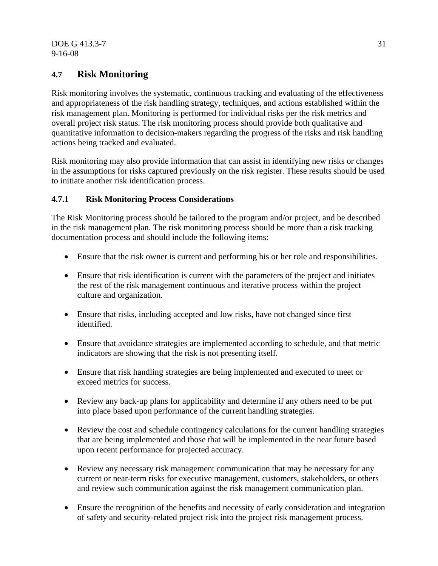#### **4.7 Risk Monitoring**

Risk monitoring involves the systematic, continuous tracking and evaluating of the effectiveness and appropriateness of the risk handling strategy, techniques, and actions established within the risk management plan. Monitoring is performed for individual risks per the risk metrics and overall project risk status. The risk monitoring process should provide both qualitative and quantitative information to decision-makers regarding the progress of the risks and risk handling actions being tracked and evaluated.

Risk monitoring may also provide information that can assist in identifying new risks or changes in the assumptions for risks captured previously on the risk register. These results should be used to initiate another risk identification process.

#### **4.7.1 Risk Monitoring Process Considerations**

The Risk Monitoring process should be tailored to the program and/or project, and be described in the risk management plan. The risk monitoring process should be more than a risk tracking documentation process and should include the following items:

- Ensure that the risk owner is current and performing his or her role and responsibilities.
- Ensure that risk identification is current with the parameters of the project and initiates the rest of the risk management continuous and iterative process within the project culture and organization.
- Ensure that risks, including accepted and low risks, have not changed since first identified.
- Ensure that avoidance strategies are implemented according to schedule, and that metric indicators are showing that the risk is not presenting itself.
- Ensure that risk handling strategies are being implemented and executed to meet or exceed metrics for success.
- Review any back-up plans for applicability and determine if any others need to be put into place based upon performance of the current handling strategies.
- Review the cost and schedule contingency calculations for the current handling strategies that are being implemented and those that will be implemented in the near future based upon recent performance for projected accuracy.
- Review any necessary risk management communication that may be necessary for any current or near-term risks for executive management, customers, stakeholders, or others and review such communication against the risk management communication plan.
- Ensure the recognition of the benefits and necessity of early consideration and integration of safety and security-related project risk into the project risk management process.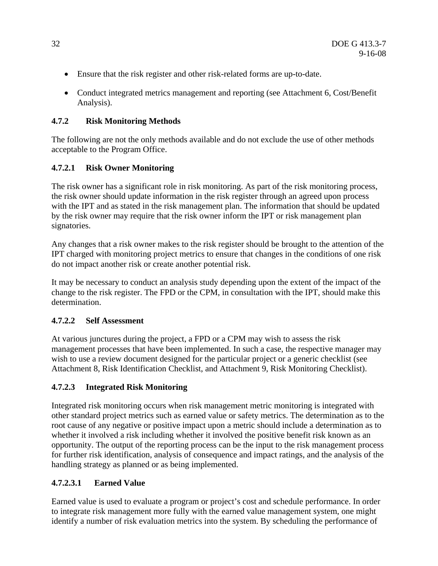- Ensure that the risk register and other risk-related forms are up-to-date.
- Conduct integrated metrics management and reporting (see Attachment 6, Cost/Benefit Analysis).

#### **4.7.2 Risk Monitoring Methods**

The following are not the only methods available and do not exclude the use of other methods acceptable to the Program Office.

#### **4.7.2.1 Risk Owner Monitoring**

The risk owner has a significant role in risk monitoring. As part of the risk monitoring process, the risk owner should update information in the risk register through an agreed upon process with the IPT and as stated in the risk management plan. The information that should be updated by the risk owner may require that the risk owner inform the IPT or risk management plan signatories.

Any changes that a risk owner makes to the risk register should be brought to the attention of the IPT charged with monitoring project metrics to ensure that changes in the conditions of one risk do not impact another risk or create another potential risk.

It may be necessary to conduct an analysis study depending upon the extent of the impact of the change to the risk register. The FPD or the CPM, in consultation with the IPT, should make this determination.

#### **4.7.2.2 Self Assessment**

At various junctures during the project, a FPD or a CPM may wish to assess the risk management processes that have been implemented. In such a case, the respective manager may wish to use a review document designed for the particular project or a generic checklist (see Attachment 8, Risk Identification Checklist, and Attachment 9, Risk Monitoring Checklist).

#### **4.7.2.3 Integrated Risk Monitoring**

Integrated risk monitoring occurs when risk management metric monitoring is integrated with other standard project metrics such as earned value or safety metrics. The determination as to the root cause of any negative or positive impact upon a metric should include a determination as to whether it involved a risk including whether it involved the positive benefit risk known as an opportunity. The output of the reporting process can be the input to the risk management process for further risk identification, analysis of consequence and impact ratings, and the analysis of the handling strategy as planned or as being implemented.

#### **4.7.2.3.1 Earned Value**

Earned value is used to evaluate a program or project's cost and schedule performance. In order to integrate risk management more fully with the earned value management system, one might identify a number of risk evaluation metrics into the system. By scheduling the performance of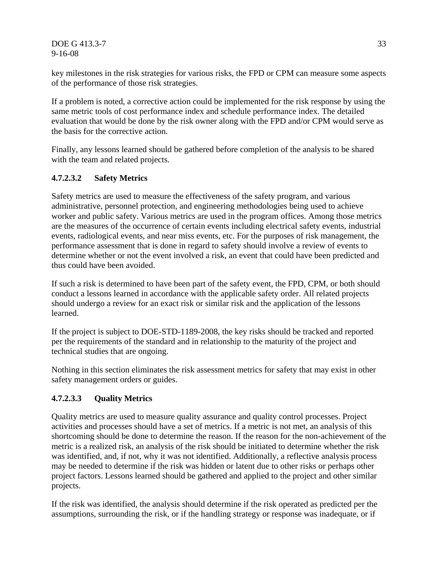#### DOE G 413.3-7 33 9-16-08

key milestones in the risk strategies for various risks, the FPD or CPM can measure some aspects of the performance of those risk strategies.

If a problem is noted, a corrective action could be implemented for the risk response by using the same metric tools of cost performance index and schedule performance index. The detailed evaluation that would be done by the risk owner along with the FPD and/or CPM would serve as the basis for the corrective action.

Finally, any lessons learned should be gathered before completion of the analysis to be shared with the team and related projects.

#### **4.7.2.3.2 Safety Metrics**

Safety metrics are used to measure the effectiveness of the safety program, and various administrative, personnel protection, and engineering methodologies being used to achieve worker and public safety. Various metrics are used in the program offices. Among those metrics are the measures of the occurrence of certain events including electrical safety events, industrial events, radiological events, and near miss events, etc. For the purposes of risk management, the performance assessment that is done in regard to safety should involve a review of events to determine whether or not the event involved a risk, an event that could have been predicted and thus could have been avoided.

If such a risk is determined to have been part of the safety event, the FPD, CPM, or both should conduct a lessons learned in accordance with the applicable safety order. All related projects should undergo a review for an exact risk or similar risk and the application of the lessons learned.

If the project is subject to DOE-STD-1189-2008, the key risks should be tracked and reported per the requirements of the standard and in relationship to the maturity of the project and technical studies that are ongoing.

Nothing in this section eliminates the risk assessment metrics for safety that may exist in other safety management orders or guides.

#### **4.7.2.3.3 Quality Metrics**

Quality metrics are used to measure quality assurance and quality control processes. Project activities and processes should have a set of metrics. If a metric is not met, an analysis of this shortcoming should be done to determine the reason. If the reason for the non-achievement of the metric is a realized risk, an analysis of the risk should be initiated to determine whether the risk was identified, and, if not, why it was not identified. Additionally, a reflective analysis process may be needed to determine if the risk was hidden or latent due to other risks or perhaps other project factors. Lessons learned should be gathered and applied to the project and other similar projects.

If the risk was identified, the analysis should determine if the risk operated as predicted per the assumptions, surrounding the risk, or if the handling strategy or response was inadequate, or if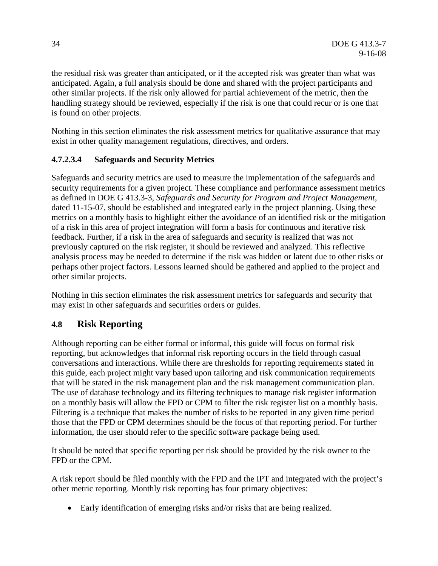the residual risk was greater than anticipated, or if the accepted risk was greater than what was anticipated. Again, a full analysis should be done and shared with the project participants and other similar projects. If the risk only allowed for partial achievement of the metric, then the handling strategy should be reviewed, especially if the risk is one that could recur or is one that is found on other projects.

Nothing in this section eliminates the risk assessment metrics for qualitative assurance that may exist in other quality management regulations, directives, and orders.

#### **4.7.2.3.4 Safeguards and Security Metrics**

Safeguards and security metrics are used to measure the implementation of the safeguards and security requirements for a given project. These compliance and performance assessment metrics as defined in DOE G 413.3-3, *Safeguards and Security for Program and Project Management*, dated 11-15-07, should be established and integrated early in the project planning. Using these metrics on a monthly basis to highlight either the avoidance of an identified risk or the mitigation of a risk in this area of project integration will form a basis for continuous and iterative risk feedback. Further, if a risk in the area of safeguards and security is realized that was not previously captured on the risk register, it should be reviewed and analyzed. This reflective analysis process may be needed to determine if the risk was hidden or latent due to other risks or perhaps other project factors. Lessons learned should be gathered and applied to the project and other similar projects.

Nothing in this section eliminates the risk assessment metrics for safeguards and security that may exist in other safeguards and securities orders or guides.

#### **4.8 Risk Reporting**

Although reporting can be either formal or informal, this guide will focus on formal risk reporting, but acknowledges that informal risk reporting occurs in the field through casual conversations and interactions. While there are thresholds for reporting requirements stated in this guide, each project might vary based upon tailoring and risk communication requirements that will be stated in the risk management plan and the risk management communication plan. The use of database technology and its filtering techniques to manage risk register information on a monthly basis will allow the FPD or CPM to filter the risk register list on a monthly basis. Filtering is a technique that makes the number of risks to be reported in any given time period those that the FPD or CPM determines should be the focus of that reporting period. For further information, the user should refer to the specific software package being used.

It should be noted that specific reporting per risk should be provided by the risk owner to the FPD or the CPM.

A risk report should be filed monthly with the FPD and the IPT and integrated with the project's other metric reporting. Monthly risk reporting has four primary objectives:

• Early identification of emerging risks and/or risks that are being realized.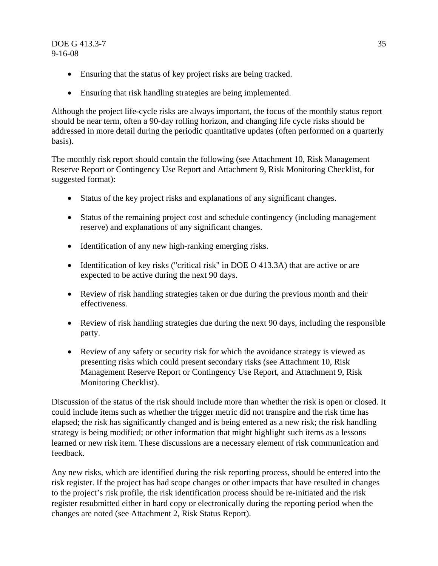#### DOE G 413.3-7 35 9-16-08

- Ensuring that the status of key project risks are being tracked.
- Ensuring that risk handling strategies are being implemented.

Although the project life-cycle risks are always important, the focus of the monthly status report should be near term, often a 90-day rolling horizon, and changing life cycle risks should be addressed in more detail during the periodic quantitative updates (often performed on a quarterly basis).

The monthly risk report should contain the following (see Attachment 10, Risk Management Reserve Report or Contingency Use Report and Attachment 9, Risk Monitoring Checklist, for suggested format):

- Status of the key project risks and explanations of any significant changes.
- Status of the remaining project cost and schedule contingency (including management reserve) and explanations of any significant changes.
- Identification of any new high-ranking emerging risks.
- Identification of key risks ("critical risk" in DOE O 413.3A) that are active or are expected to be active during the next 90 days.
- Review of risk handling strategies taken or due during the previous month and their effectiveness.
- Review of risk handling strategies due during the next 90 days, including the responsible party.
- Review of any safety or security risk for which the avoidance strategy is viewed as presenting risks which could present secondary risks (see Attachment 10, Risk Management Reserve Report or Contingency Use Report, and Attachment 9, Risk Monitoring Checklist).

Discussion of the status of the risk should include more than whether the risk is open or closed. It could include items such as whether the trigger metric did not transpire and the risk time has elapsed; the risk has significantly changed and is being entered as a new risk; the risk handling strategy is being modified; or other information that might highlight such items as a lessons learned or new risk item. These discussions are a necessary element of risk communication and feedback.

Any new risks, which are identified during the risk reporting process, should be entered into the risk register. If the project has had scope changes or other impacts that have resulted in changes to the project's risk profile, the risk identification process should be re-initiated and the risk register resubmitted either in hard copy or electronically during the reporting period when the changes are noted (see Attachment 2, Risk Status Report).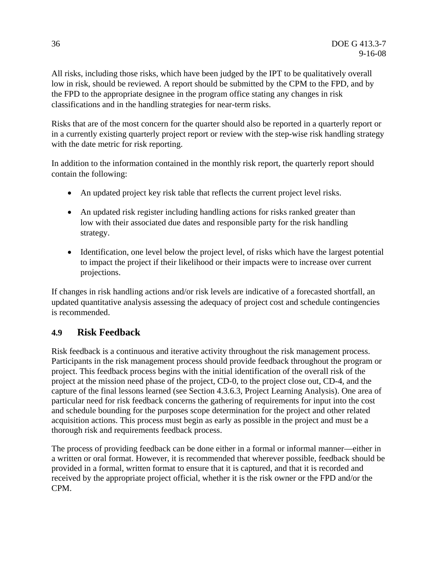All risks, including those risks, which have been judged by the IPT to be qualitatively overall low in risk, should be reviewed. A report should be submitted by the CPM to the FPD, and by the FPD to the appropriate designee in the program office stating any changes in risk classifications and in the handling strategies for near-term risks.

Risks that are of the most concern for the quarter should also be reported in a quarterly report or in a currently existing quarterly project report or review with the step-wise risk handling strategy with the date metric for risk reporting.

In addition to the information contained in the monthly risk report, the quarterly report should contain the following:

- An updated project key risk table that reflects the current project level risks.
- An updated risk register including handling actions for risks ranked greater than low with their associated due dates and responsible party for the risk handling strategy.
- Identification, one level below the project level, of risks which have the largest potential to impact the project if their likelihood or their impacts were to increase over current projections.

If changes in risk handling actions and/or risk levels are indicative of a forecasted shortfall, an updated quantitative analysis assessing the adequacy of project cost and schedule contingencies is recommended.

#### **4.9 Risk Feedback**

Risk feedback is a continuous and iterative activity throughout the risk management process. Participants in the risk management process should provide feedback throughout the program or project. This feedback process begins with the initial identification of the overall risk of the project at the mission need phase of the project, CD-0, to the project close out, CD-4, and the capture of the final lessons learned (see Section 4.3.6.3, Project Learning Analysis). One area of particular need for risk feedback concerns the gathering of requirements for input into the cost and schedule bounding for the purposes scope determination for the project and other related acquisition actions. This process must begin as early as possible in the project and must be a thorough risk and requirements feedback process.

The process of providing feedback can be done either in a formal or informal manner—either in a written or oral format. However, it is recommended that wherever possible, feedback should be provided in a formal, written format to ensure that it is captured, and that it is recorded and received by the appropriate project official, whether it is the risk owner or the FPD and/or the CPM.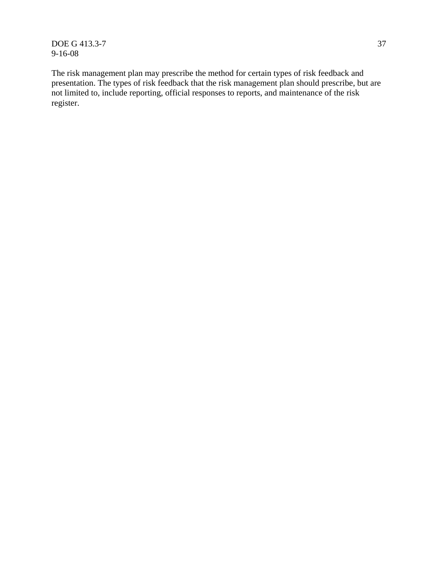DOE G 413.3-7 37 9-16-08

The risk management plan may prescribe the method for certain types of risk feedback and presentation. The types of risk feedback that the risk management plan should prescribe, but are not limited to, include reporting, official responses to reports, and maintenance of the risk register.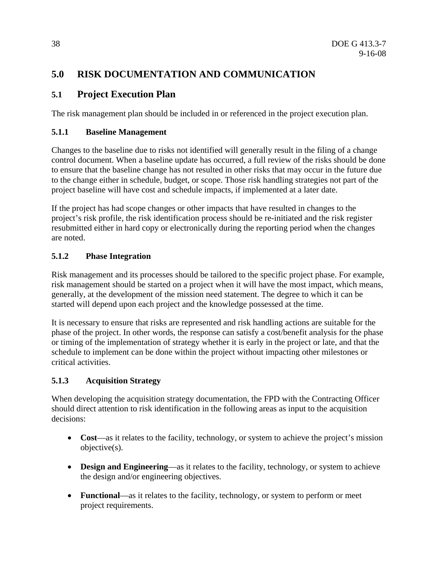#### **5.0 RISK DOCUMENTATION AND COMMUNICATION**

#### **5.1 Project Execution Plan**

The risk management plan should be included in or referenced in the project execution plan.

#### **5.1.1 Baseline Management**

Changes to the baseline due to risks not identified will generally result in the filing of a change control document. When a baseline update has occurred, a full review of the risks should be done to ensure that the baseline change has not resulted in other risks that may occur in the future due to the change either in schedule, budget, or scope. Those risk handling strategies not part of the project baseline will have cost and schedule impacts, if implemented at a later date.

If the project has had scope changes or other impacts that have resulted in changes to the project's risk profile, the risk identification process should be re-initiated and the risk register resubmitted either in hard copy or electronically during the reporting period when the changes are noted.

#### **5.1.2 Phase Integration**

Risk management and its processes should be tailored to the specific project phase. For example, risk management should be started on a project when it will have the most impact, which means, generally, at the development of the mission need statement. The degree to which it can be started will depend upon each project and the knowledge possessed at the time.

It is necessary to ensure that risks are represented and risk handling actions are suitable for the phase of the project. In other words, the response can satisfy a cost/benefit analysis for the phase or timing of the implementation of strategy whether it is early in the project or late, and that the schedule to implement can be done within the project without impacting other milestones or critical activities.

#### **5.1.3 Acquisition Strategy**

When developing the acquisition strategy documentation, the FPD with the Contracting Officer should direct attention to risk identification in the following areas as input to the acquisition decisions:

- **Cost**—as it relates to the facility, technology, or system to achieve the project's mission objective(s).
- **Design and Engineering**—as it relates to the facility, technology, or system to achieve the design and/or engineering objectives.
- **Functional**—as it relates to the facility, technology, or system to perform or meet project requirements.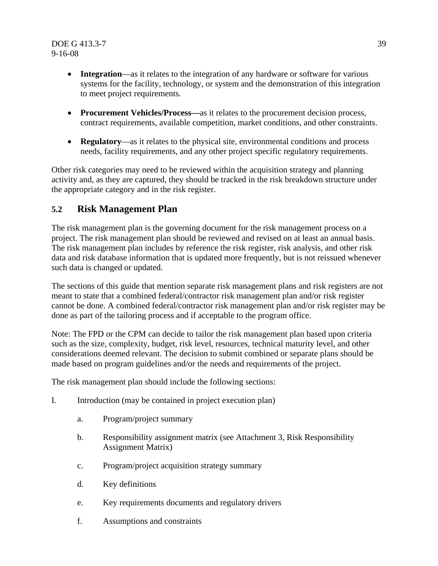- **Integration**—as it relates to the integration of any hardware or software for various systems for the facility, technology, or system and the demonstration of this integration to meet project requirements.
- **Procurement Vehicles/Process—**as it relates to the procurement decision process, contract requirements, available competition, market conditions, and other constraints.
- **Regulatory**—as it relates to the physical site, environmental conditions and process needs, facility requirements, and any other project specific regulatory requirements.

Other risk categories may need to be reviewed within the acquisition strategy and planning activity and, as they are captured, they should be tracked in the risk breakdown structure under the appropriate category and in the risk register.

#### **5.2 Risk Management Plan**

The risk management plan is the governing document for the risk management process on a project. The risk management plan should be reviewed and revised on at least an annual basis. The risk management plan includes by reference the risk register, risk analysis, and other risk data and risk database information that is updated more frequently, but is not reissued whenever such data is changed or updated.

The sections of this guide that mention separate risk management plans and risk registers are not meant to state that a combined federal/contractor risk management plan and/or risk register cannot be done. A combined federal/contractor risk management plan and/or risk register may be done as part of the tailoring process and if acceptable to the program office.

Note: The FPD or the CPM can decide to tailor the risk management plan based upon criteria such as the size, complexity, budget, risk level, resources, technical maturity level, and other considerations deemed relevant. The decision to submit combined or separate plans should be made based on program guidelines and/or the needs and requirements of the project.

The risk management plan should include the following sections:

- I. Introduction (may be contained in project execution plan)
	- a. Program/project summary
	- b. Responsibility assignment matrix (see Attachment 3, Risk Responsibility Assignment Matrix)
	- c. Program/project acquisition strategy summary
	- d. Key definitions
	- e. Key requirements documents and regulatory drivers
	- f. Assumptions and constraints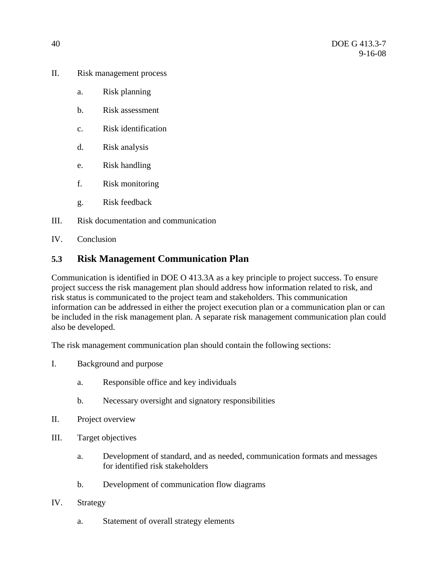- II. Risk management process
	- a. Risk planning
	- b. Risk assessment
	- c. Risk identification
	- d. Risk analysis
	- e. Risk handling
	- f. Risk monitoring
	- g. Risk feedback
- III. Risk documentation and communication
- IV. Conclusion

#### **5.3 Risk Management Communication Plan**

Communication is identified in DOE O 413.3A as a key principle to project success. To ensure project success the risk management plan should address how information related to risk, and risk status is communicated to the project team and stakeholders. This communication information can be addressed in either the project execution plan or a communication plan or can be included in the risk management plan. A separate risk management communication plan could also be developed.

The risk management communication plan should contain the following sections:

- I. Background and purpose
	- a. Responsible office and key individuals
	- b. Necessary oversight and signatory responsibilities
- II. Project overview
- III. Target objectives
	- a. Development of standard, and as needed, communication formats and messages for identified risk stakeholders
	- b. Development of communication flow diagrams
- IV. Strategy
	- a. Statement of overall strategy elements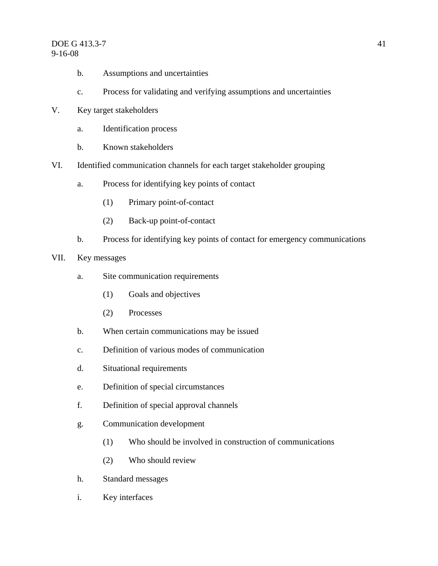#### DOE G 413.3-7 41 9-16-08

- b. Assumptions and uncertainties
- c. Process for validating and verifying assumptions and uncertainties
- V. Key target stakeholders
	- a. Identification process
	- b. Known stakeholders
- VI. Identified communication channels for each target stakeholder grouping
	- a. Process for identifying key points of contact
		- (1) Primary point-of-contact
		- (2) Back-up point-of-contact
	- b. Process for identifying key points of contact for emergency communications
- VII. Key messages
	- a. Site communication requirements
		- (1) Goals and objectives
		- (2) Processes
	- b. When certain communications may be issued
	- c. Definition of various modes of communication
	- d. Situational requirements
	- e. Definition of special circumstances
	- f. Definition of special approval channels
	- g. Communication development
		- (1) Who should be involved in construction of communications
		- (2) Who should review
	- h. Standard messages
	- i. Key interfaces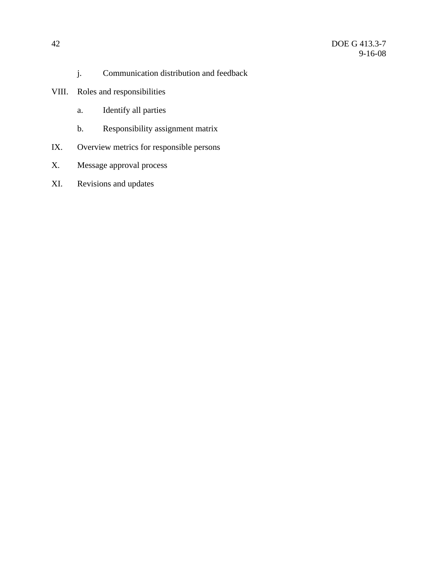- j. Communication distribution and feedback
- VIII. Roles and responsibilities
	- a. Identify all parties
	- b. Responsibility assignment matrix
- IX. Overview metrics for responsible persons
- X. Message approval process
- XI. Revisions and updates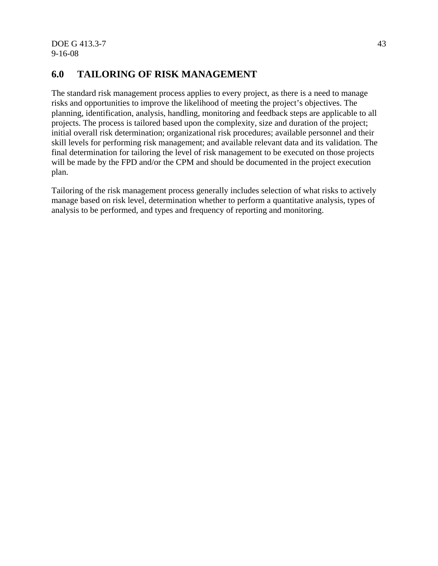#### **6.0 TAILORING OF RISK MANAGEMENT**

The standard risk management process applies to every project, as there is a need to manage risks and opportunities to improve the likelihood of meeting the project's objectives. The planning, identification, analysis, handling, monitoring and feedback steps are applicable to all projects. The process is tailored based upon the complexity, size and duration of the project; initial overall risk determination; organizational risk procedures; available personnel and their skill levels for performing risk management; and available relevant data and its validation. The final determination for tailoring the level of risk management to be executed on those projects will be made by the FPD and/or the CPM and should be documented in the project execution plan.

Tailoring of the risk management process generally includes selection of what risks to actively manage based on risk level, determination whether to perform a quantitative analysis, types of analysis to be performed, and types and frequency of reporting and monitoring.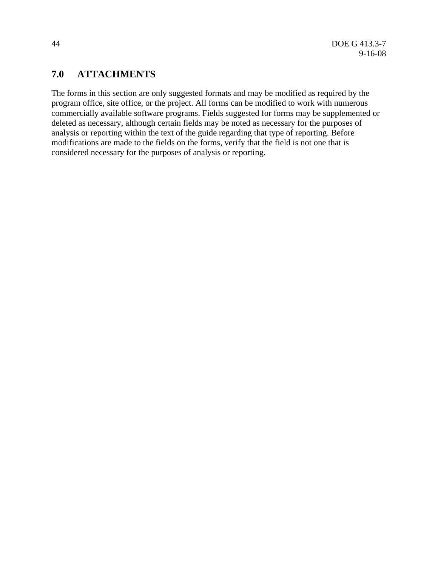#### **7.0 ATTACHMENTS**

The forms in this section are only suggested formats and may be modified as required by the program office, site office, or the project. All forms can be modified to work with numerous commercially available software programs. Fields suggested for forms may be supplemented or deleted as necessary, although certain fields may be noted as necessary for the purposes of analysis or reporting within the text of the guide regarding that type of reporting. Before modifications are made to the fields on the forms, verify that the field is not one that is considered necessary for the purposes of analysis or reporting.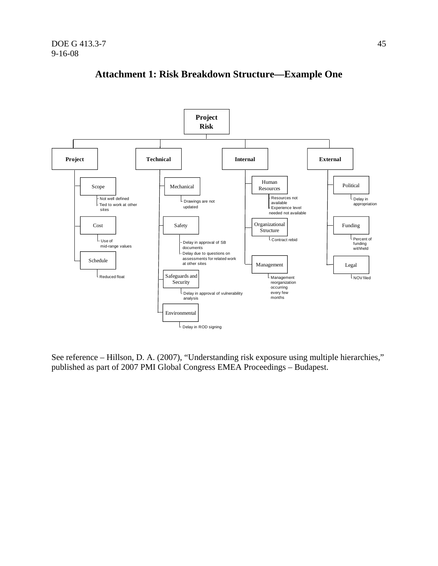

#### **Attachment 1: Risk Breakdown Structure—Example One**

See reference – Hillson, D. A. (2007), "Understanding risk exposure using multiple hierarchies," published as part of 2007 PMI Global Congress EMEA Proceedings – Budapest.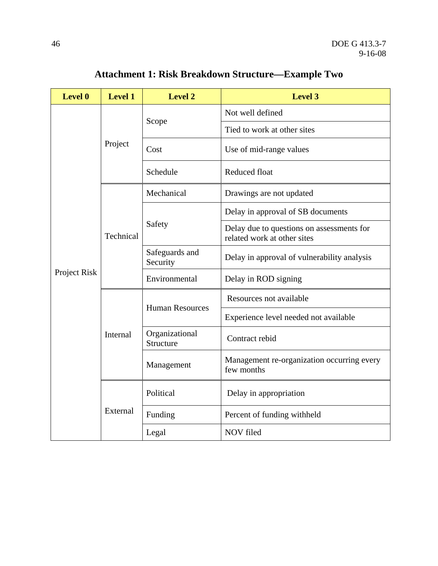| <b>Level 0</b> | <b>Level 1</b> | <b>Level 2</b>              | <b>Level 3</b>                                                           |  |  |
|----------------|----------------|-----------------------------|--------------------------------------------------------------------------|--|--|
|                | Project        |                             | Not well defined                                                         |  |  |
|                |                | Scope                       | Tied to work at other sites                                              |  |  |
|                |                | Cost                        | Use of mid-range values                                                  |  |  |
|                |                | Schedule                    | Reduced float                                                            |  |  |
|                |                | Mechanical                  | Drawings are not updated                                                 |  |  |
|                |                |                             | Delay in approval of SB documents                                        |  |  |
|                | Technical      | Safety                      | Delay due to questions on assessments for<br>related work at other sites |  |  |
|                |                | Safeguards and<br>Security  | Delay in approval of vulnerability analysis                              |  |  |
| Project Risk   |                | Environmental               | Delay in ROD signing                                                     |  |  |
|                |                |                             | Resources not available                                                  |  |  |
|                |                | <b>Human Resources</b>      | Experience level needed not available                                    |  |  |
|                | Internal       | Organizational<br>Structure | Contract rebid                                                           |  |  |
|                |                | Management                  | Management re-organization occurring every<br>few months                 |  |  |
|                |                | Political                   | Delay in appropriation                                                   |  |  |
|                | External       | Funding                     | Percent of funding withheld                                              |  |  |
|                |                | Legal                       | NOV filed                                                                |  |  |

## **Attachment 1: Risk Breakdown Structure—Example Two**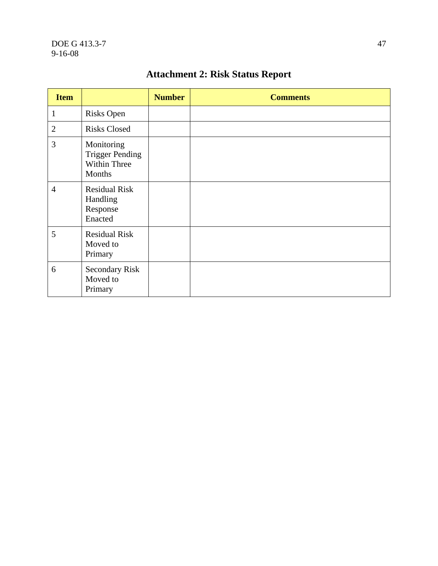#### DOE G 413.3-7 47 9-16-08

| <b>Item</b>    |                                                                | <b>Number</b> | <b>Comments</b> |
|----------------|----------------------------------------------------------------|---------------|-----------------|
| 1              | <b>Risks Open</b>                                              |               |                 |
| $\overline{2}$ | <b>Risks Closed</b>                                            |               |                 |
| 3              | Monitoring<br><b>Trigger Pending</b><br>Within Three<br>Months |               |                 |
| $\overline{4}$ | <b>Residual Risk</b><br>Handling<br>Response<br>Enacted        |               |                 |
| 5              | <b>Residual Risk</b><br>Moved to<br>Primary                    |               |                 |
| 6              | <b>Secondary Risk</b><br>Moved to<br>Primary                   |               |                 |

# **Attachment 2: Risk Status Report**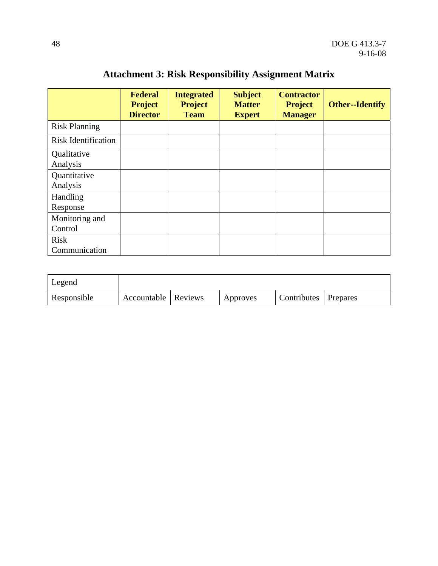|                              | <b>Federal</b><br><b>Project</b><br><b>Director</b> | <b>Integrated</b><br><b>Project</b><br><b>Team</b> | <b>Subject</b><br><b>Matter</b><br><b>Expert</b> | <b>Contractor</b><br><b>Project</b><br><b>Manager</b> | <b>Other--Identify</b> |
|------------------------------|-----------------------------------------------------|----------------------------------------------------|--------------------------------------------------|-------------------------------------------------------|------------------------|
| <b>Risk Planning</b>         |                                                     |                                                    |                                                  |                                                       |                        |
| <b>Risk Identification</b>   |                                                     |                                                    |                                                  |                                                       |                        |
| Qualitative<br>Analysis      |                                                     |                                                    |                                                  |                                                       |                        |
| Quantitative<br>Analysis     |                                                     |                                                    |                                                  |                                                       |                        |
| Handling<br>Response         |                                                     |                                                    |                                                  |                                                       |                        |
| Monitoring and<br>Control    |                                                     |                                                    |                                                  |                                                       |                        |
| <b>Risk</b><br>Communication |                                                     |                                                    |                                                  |                                                       |                        |

# **Attachment 3: Risk Responsibility Assignment Matrix**

| Legend      |                       |          |                        |  |
|-------------|-----------------------|----------|------------------------|--|
| Responsible | Accountable   Reviews | Approves | Contributes   Prepares |  |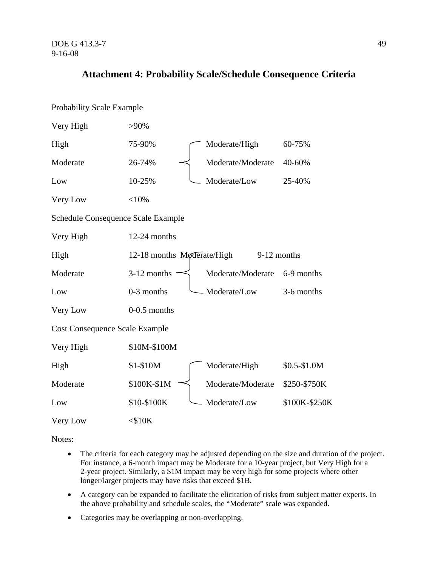DOE G 413.3-7 49 9-16-08

#### **Attachment 4: Probability Scale/Schedule Consequence Criteria**

| <b>Probability Scale Example</b>          |                                                  |
|-------------------------------------------|--------------------------------------------------|
| Very High                                 | $>90\%$                                          |
| High                                      | 75-90%<br>Moderate/High<br>60-75%                |
| Moderate                                  | 26-74%<br>Moderate/Moderate<br>40-60%            |
| Low                                       | 10-25%<br>Moderate/Low<br>25-40%                 |
| Very Low                                  | $<$ 10%                                          |
| <b>Schedule Consequence Scale Example</b> |                                                  |
| Very High                                 | 12-24 months                                     |
| High                                      | 12-18 months Moderate/High<br>9-12 months        |
| Moderate                                  | 3-12 months<br>Moderate/Moderate<br>6-9 months   |
| Low                                       | Moderate/Low<br>0-3 months<br>3-6 months         |
| Very Low                                  | $0-0.5$ months                                   |
| <b>Cost Consequence Scale Example</b>     |                                                  |
| Very High                                 | \$10M-\$100M                                     |
| High                                      | \$1-\$10M<br>Moderate/High<br>$$0.5 - $1.0M$     |
| Moderate                                  | \$100K-\$1M<br>Moderate/Moderate<br>\$250-\$750K |
| Low                                       | \$10-\$100K<br>Moderate/Low<br>\$100K-\$250K     |
| Very Low                                  | $<$ \$10 $K$                                     |

Notes:

- The criteria for each category may be adjusted depending on the size and duration of the project. For instance, a 6-month impact may be Moderate for a 10-year project, but Very High for a 2-year project. Similarly, a \$1M impact may be very high for some projects where other longer/larger projects may have risks that exceed \$1B.
- A category can be expanded to facilitate the elicitation of risks from subject matter experts. In the above probability and schedule scales, the "Moderate" scale was expanded.
- Categories may be overlapping or non-overlapping.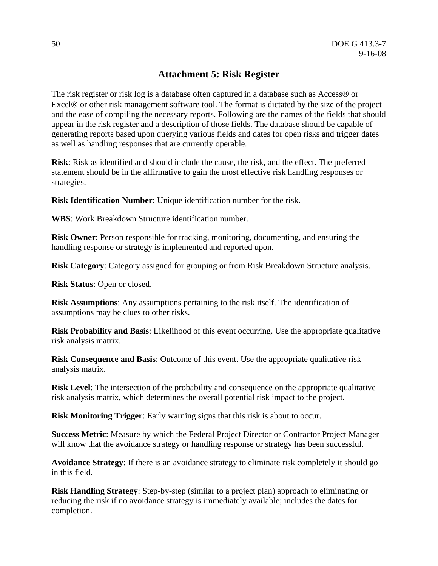#### **Attachment 5: Risk Register**

The risk register or risk log is a database often captured in a database such as Access® or Excel® or other risk management software tool. The format is dictated by the size of the project and the ease of compiling the necessary reports. Following are the names of the fields that should appear in the risk register and a description of those fields. The database should be capable of generating reports based upon querying various fields and dates for open risks and trigger dates as well as handling responses that are currently operable.

**Risk**: Risk as identified and should include the cause, the risk, and the effect. The preferred statement should be in the affirmative to gain the most effective risk handling responses or strategies.

**Risk Identification Number**: Unique identification number for the risk.

**WBS**: Work Breakdown Structure identification number.

**Risk Owner**: Person responsible for tracking, monitoring, documenting, and ensuring the handling response or strategy is implemented and reported upon.

**Risk Category**: Category assigned for grouping or from Risk Breakdown Structure analysis.

**Risk Status**: Open or closed.

**Risk Assumptions**: Any assumptions pertaining to the risk itself. The identification of assumptions may be clues to other risks.

**Risk Probability and Basis**: Likelihood of this event occurring. Use the appropriate qualitative risk analysis matrix.

**Risk Consequence and Basis**: Outcome of this event. Use the appropriate qualitative risk analysis matrix.

**Risk Level**: The intersection of the probability and consequence on the appropriate qualitative risk analysis matrix, which determines the overall potential risk impact to the project.

**Risk Monitoring Trigger**: Early warning signs that this risk is about to occur.

**Success Metric**: Measure by which the Federal Project Director or Contractor Project Manager will know that the avoidance strategy or handling response or strategy has been successful.

**Avoidance Strategy**: If there is an avoidance strategy to eliminate risk completely it should go in this field.

**Risk Handling Strategy**: Step-by-step (similar to a project plan) approach to eliminating or reducing the risk if no avoidance strategy is immediately available; includes the dates for completion.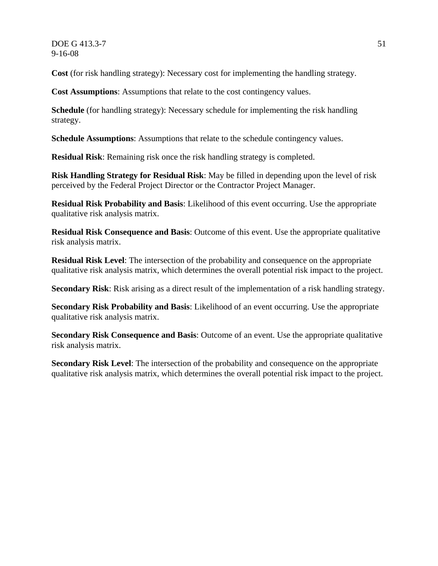**Cost** (for risk handling strategy): Necessary cost for implementing the handling strategy.

**Cost Assumptions**: Assumptions that relate to the cost contingency values.

**Schedule** (for handling strategy): Necessary schedule for implementing the risk handling strategy.

**Schedule Assumptions**: Assumptions that relate to the schedule contingency values.

**Residual Risk**: Remaining risk once the risk handling strategy is completed.

**Risk Handling Strategy for Residual Risk**: May be filled in depending upon the level of risk perceived by the Federal Project Director or the Contractor Project Manager.

**Residual Risk Probability and Basis**: Likelihood of this event occurring. Use the appropriate qualitative risk analysis matrix.

**Residual Risk Consequence and Basis**: Outcome of this event. Use the appropriate qualitative risk analysis matrix.

**Residual Risk Level**: The intersection of the probability and consequence on the appropriate qualitative risk analysis matrix, which determines the overall potential risk impact to the project.

**Secondary Risk**: Risk arising as a direct result of the implementation of a risk handling strategy.

**Secondary Risk Probability and Basis**: Likelihood of an event occurring. Use the appropriate qualitative risk analysis matrix.

**Secondary Risk Consequence and Basis**: Outcome of an event. Use the appropriate qualitative risk analysis matrix.

**Secondary Risk Level**: The intersection of the probability and consequence on the appropriate qualitative risk analysis matrix, which determines the overall potential risk impact to the project.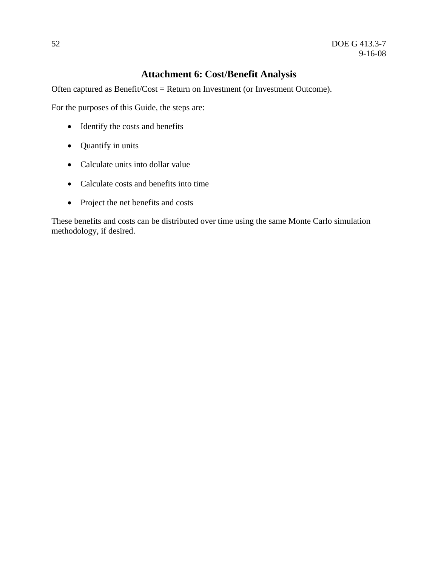#### **Attachment 6: Cost/Benefit Analysis**

Often captured as Benefit/Cost = Return on Investment (or Investment Outcome).

For the purposes of this Guide, the steps are:

- Identify the costs and benefits
- Quantify in units
- Calculate units into dollar value
- Calculate costs and benefits into time
- Project the net benefits and costs

These benefits and costs can be distributed over time using the same Monte Carlo simulation methodology, if desired.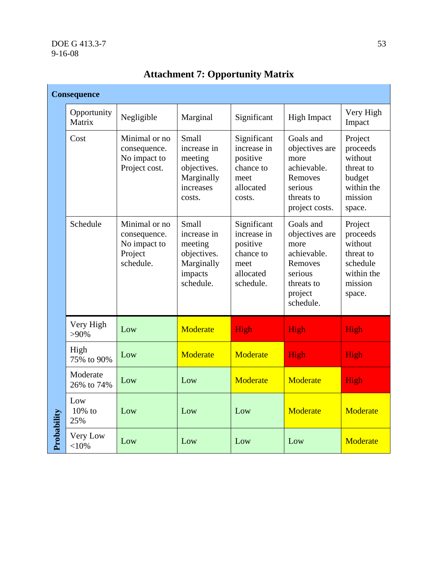#### DOE G 413.3-7 53 9-16-08

|             | Consequence             |                                                                       |                                                                                      |                                                                                       |                                                                                                                |                                                                                            |  |  |
|-------------|-------------------------|-----------------------------------------------------------------------|--------------------------------------------------------------------------------------|---------------------------------------------------------------------------------------|----------------------------------------------------------------------------------------------------------------|--------------------------------------------------------------------------------------------|--|--|
|             | Opportunity<br>Matrix   | Negligible                                                            | Marginal                                                                             | Significant                                                                           | <b>High Impact</b>                                                                                             | Very High<br>Impact                                                                        |  |  |
|             | Cost                    | Minimal or no<br>consequence.<br>No impact to<br>Project cost.        | Small<br>increase in<br>meeting<br>objectives.<br>Marginally<br>increases<br>costs.  | Significant<br>increase in<br>positive<br>chance to<br>meet<br>allocated<br>costs.    | Goals and<br>objectives are<br>more<br>achievable.<br>Removes<br>serious<br>threats to<br>project costs.       | Project<br>proceeds<br>without<br>threat to<br>budget<br>within the<br>mission<br>space.   |  |  |
|             | Schedule                | Minimal or no<br>consequence.<br>No impact to<br>Project<br>schedule. | Small<br>increase in<br>meeting<br>objectives.<br>Marginally<br>impacts<br>schedule. | Significant<br>increase in<br>positive<br>chance to<br>meet<br>allocated<br>schedule. | Goals and<br>objectives are<br>more<br>achievable.<br>Removes<br>serious<br>threats to<br>project<br>schedule. | Project<br>proceeds<br>without<br>threat to<br>schedule<br>within the<br>mission<br>space. |  |  |
|             | Very High<br>$>90\%$    | Low                                                                   | Moderate                                                                             | High                                                                                  | High                                                                                                           | High                                                                                       |  |  |
|             | High<br>75% to 90%      | Low                                                                   | Moderate                                                                             | Moderate                                                                              | High                                                                                                           | High                                                                                       |  |  |
|             | Moderate<br>26% to 74%  | Low                                                                   | Low                                                                                  | Moderate                                                                              | Moderate                                                                                                       | High                                                                                       |  |  |
|             | Low<br>$10\%$ to<br>25% | Low                                                                   | Low                                                                                  | Low                                                                                   | Moderate                                                                                                       | Moderate                                                                                   |  |  |
| Probability | Very Low<br>$<$ 10%     | Low                                                                   | Low                                                                                  | Low                                                                                   | Low                                                                                                            | Moderate                                                                                   |  |  |

# **Attachment 7: Opportunity Matrix**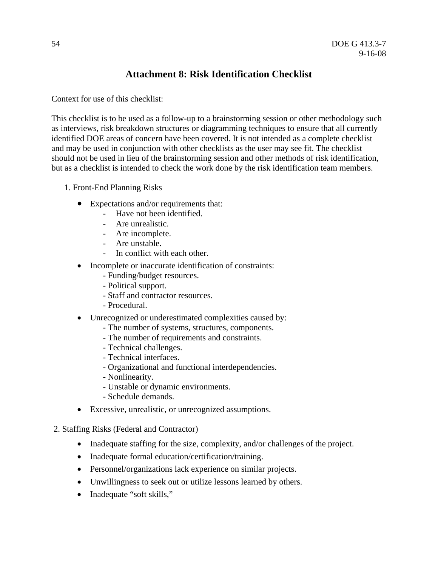#### **Attachment 8: Risk Identification Checklist**

Context for use of this checklist:

This checklist is to be used as a follow-up to a brainstorming session or other methodology such as interviews, risk breakdown structures or diagramming techniques to ensure that all currently identified DOE areas of concern have been covered. It is not intended as a complete checklist and may be used in conjunction with other checklists as the user may see fit. The checklist should not be used in lieu of the brainstorming session and other methods of risk identification, but as a checklist is intended to check the work done by the risk identification team members.

- 1. Front-End Planning Risks
	- Expectations and/or requirements that:
		- Have not been identified.
		- Are unrealistic.
		- Are incomplete.
		- Are unstable.
		- In conflict with each other.
	- Incomplete or inaccurate identification of constraints:
		- Funding/budget resources.
		- Political support.
		- Staff and contractor resources.
		- Procedural.
	- Unrecognized or underestimated complexities caused by:
		- The number of systems, structures, components.
		- The number of requirements and constraints.
		- Technical challenges.
		- Technical interfaces.
		- Organizational and functional interdependencies.
		- Nonlinearity.
		- Unstable or dynamic environments.
		- Schedule demands.
	- Excessive, unrealistic, or unrecognized assumptions.
- 2. Staffing Risks (Federal and Contractor)
	- Inadequate staffing for the size, complexity, and/or challenges of the project.
	- Inadequate formal education/certification/training.
	- Personnel/organizations lack experience on similar projects.
	- Unwillingness to seek out or utilize lessons learned by others.
	- Inadequate "soft skills,"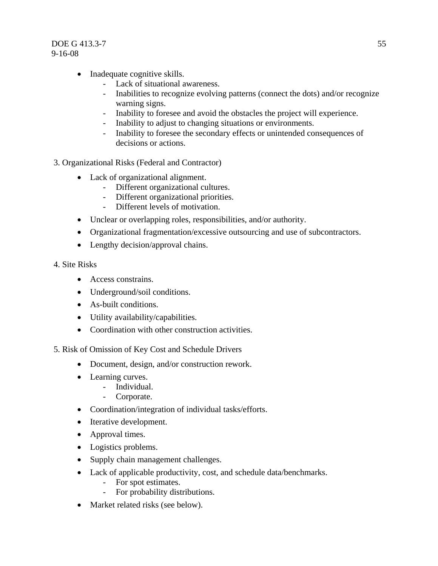#### DOE G 413.3-7 55 9-16-08

- Inadequate cognitive skills.
	- Lack of situational awareness.
	- Inabilities to recognize evolving patterns (connect the dots) and/or recognize warning signs.
	- Inability to foresee and avoid the obstacles the project will experience.
	- Inability to adjust to changing situations or environments.
	- Inability to foresee the secondary effects or unintended consequences of decisions or actions.

3. Organizational Risks (Federal and Contractor)

- Lack of organizational alignment.
	- Different organizational cultures.
	- Different organizational priorities.
	- Different levels of motivation.
- Unclear or overlapping roles, responsibilities, and/or authority.
- Organizational fragmentation/excessive outsourcing and use of subcontractors.
- Lengthy decision/approval chains.
- 4. Site Risks
	- Access constrains.
	- Underground/soil conditions.
	- As-built conditions.
	- Utility availability/capabilities.
	- Coordination with other construction activities.

5. Risk of Omission of Key Cost and Schedule Drivers

- Document, design, and/or construction rework.
- Learning curves.
	- Individual.
	- Corporate.
- Coordination/integration of individual tasks/efforts.
- Iterative development.
- Approval times.
- Logistics problems.
- Supply chain management challenges.
- Lack of applicable productivity, cost, and schedule data/benchmarks.
	- For spot estimates.
	- For probability distributions.
- Market related risks (see below).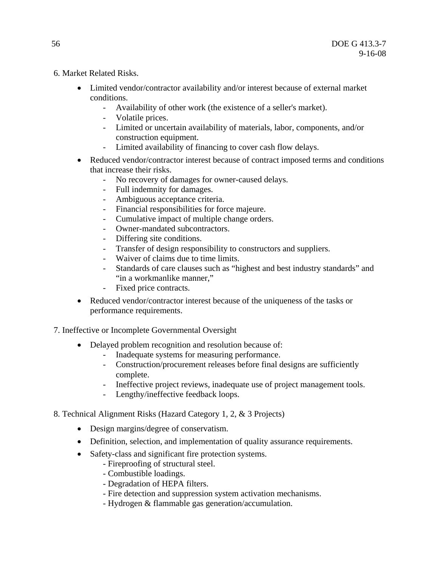- 6. Market Related Risks.
	- Limited vendor/contractor availability and/or interest because of external market conditions.
		- Availability of other work (the existence of a seller's market).
		- Volatile prices.
		- Limited or uncertain availability of materials, labor, components, and/or construction equipment.
		- Limited availability of financing to cover cash flow delays.
	- Reduced vendor/contractor interest because of contract imposed terms and conditions that increase their risks.
		- No recovery of damages for owner-caused delays.
		- Full indemnity for damages.
		- Ambiguous acceptance criteria.
		- Financial responsibilities for force majeure.
		- Cumulative impact of multiple change orders.
		- Owner-mandated subcontractors.
		- Differing site conditions.
		- Transfer of design responsibility to constructors and suppliers.
		- Waiver of claims due to time limits.
		- Standards of care clauses such as "highest and best industry standards" and "in a workmanlike manner,"
		- Fixed price contracts.
	- Reduced vendor/contractor interest because of the uniqueness of the tasks or performance requirements.

7. Ineffective or Incomplete Governmental Oversight

- Delayed problem recognition and resolution because of:
	- Inadequate systems for measuring performance.
	- Construction/procurement releases before final designs are sufficiently complete.
	- Ineffective project reviews, inadequate use of project management tools.
	- Lengthy/ineffective feedback loops.

#### 8. Technical Alignment Risks (Hazard Category 1, 2, & 3 Projects)

- Design margins/degree of conservatism.
- Definition, selection, and implementation of quality assurance requirements.
- Safety-class and significant fire protection systems.
	- Fireproofing of structural steel.
	- Combustible loadings.
	- Degradation of HEPA filters.
	- Fire detection and suppression system activation mechanisms.
	- Hydrogen & flammable gas generation/accumulation.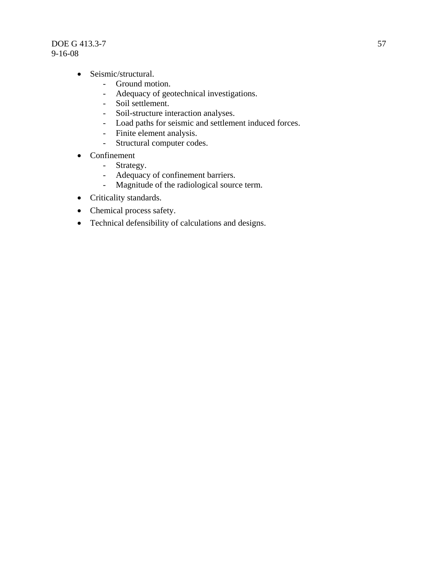#### DOE G 413.3-7 57 9-16-08

- Seismic/structural.
	- Ground motion.
	- Adequacy of geotechnical investigations.
	- Soil settlement.
	- Soil-structure interaction analyses.
	- Load paths for seismic and settlement induced forces.
	- Finite element analysis.
	- Structural computer codes.
- Confinement
	- Strategy.
	- Adequacy of confinement barriers.
	- Magnitude of the radiological source term.
- Criticality standards.
- Chemical process safety.
- Technical defensibility of calculations and designs.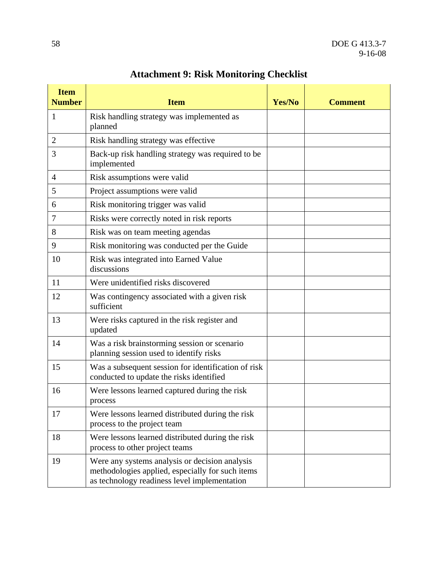| <b>Item</b><br><b>Number</b> | <b>Item</b>                                                                                                                                        | Yes/No | <b>Comment</b> |  |
|------------------------------|----------------------------------------------------------------------------------------------------------------------------------------------------|--------|----------------|--|
| 1                            | Risk handling strategy was implemented as<br>planned                                                                                               |        |                |  |
| $\overline{2}$               | Risk handling strategy was effective                                                                                                               |        |                |  |
| 3                            | Back-up risk handling strategy was required to be<br>implemented                                                                                   |        |                |  |
| $\overline{4}$               | Risk assumptions were valid                                                                                                                        |        |                |  |
| 5                            | Project assumptions were valid                                                                                                                     |        |                |  |
| 6                            | Risk monitoring trigger was valid                                                                                                                  |        |                |  |
| 7                            | Risks were correctly noted in risk reports                                                                                                         |        |                |  |
| 8                            | Risk was on team meeting agendas                                                                                                                   |        |                |  |
| 9                            | Risk monitoring was conducted per the Guide                                                                                                        |        |                |  |
| 10                           | Risk was integrated into Earned Value<br>discussions                                                                                               |        |                |  |
| 11                           | Were unidentified risks discovered                                                                                                                 |        |                |  |
| 12                           | Was contingency associated with a given risk<br>sufficient                                                                                         |        |                |  |
| 13                           | Were risks captured in the risk register and<br>updated                                                                                            |        |                |  |
| 14                           | Was a risk brainstorming session or scenario<br>planning session used to identify risks                                                            |        |                |  |
| 15                           | Was a subsequent session for identification of risk<br>conducted to update the risks identified                                                    |        |                |  |
| 16                           | Were lessons learned captured during the risk<br>process                                                                                           |        |                |  |
| 17                           | Were lessons learned distributed during the risk<br>process to the project team                                                                    |        |                |  |
| 18                           | Were lessons learned distributed during the risk<br>process to other project teams                                                                 |        |                |  |
| 19                           | Were any systems analysis or decision analysis<br>methodologies applied, especially for such items<br>as technology readiness level implementation |        |                |  |

# **Attachment 9: Risk Monitoring Checklist**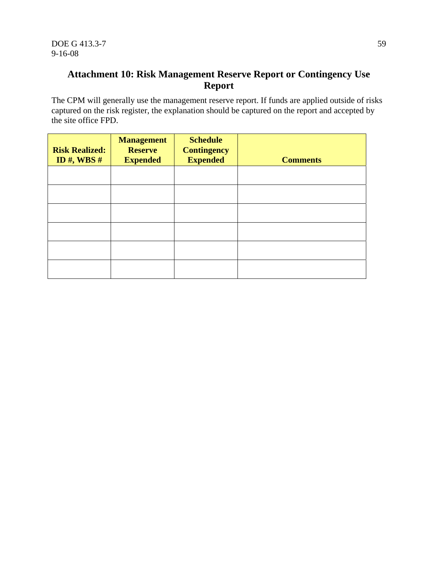#### **Attachment 10: Risk Management Reserve Report or Contingency Use Report**

The CPM will generally use the management reserve report. If funds are applied outside of risks captured on the risk register, the explanation should be captured on the report and accepted by the site office FPD.

| <b>Risk Realized:</b><br>ID $#$ , WBS $#$ | <b>Management</b><br><b>Reserve</b><br><b>Expended</b> | <b>Schedule</b><br><b>Contingency</b><br><b>Expended</b> | <b>Comments</b> |
|-------------------------------------------|--------------------------------------------------------|----------------------------------------------------------|-----------------|
|                                           |                                                        |                                                          |                 |
|                                           |                                                        |                                                          |                 |
|                                           |                                                        |                                                          |                 |
|                                           |                                                        |                                                          |                 |
|                                           |                                                        |                                                          |                 |
|                                           |                                                        |                                                          |                 |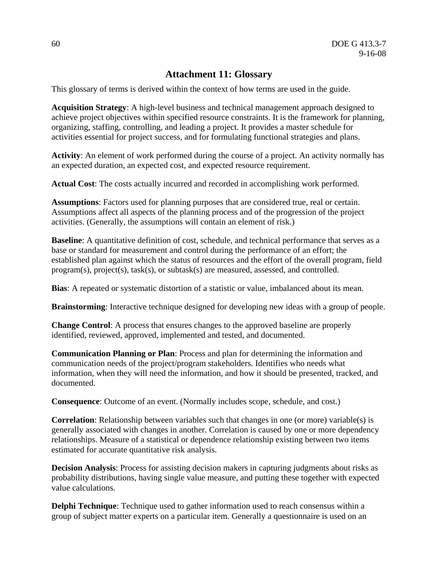#### **Attachment 11: Glossary**

This glossary of terms is derived within the context of how terms are used in the guide.

**Acquisition Strategy**: A high-level business and technical management approach designed to achieve project objectives within specified resource constraints. It is the framework for planning, organizing, staffing, controlling, and leading a project. It provides a master schedule for activities essential for project success, and for formulating functional strategies and plans.

**Activity**: An element of work performed during the course of a project. An activity normally has an expected duration, an expected cost, and expected resource requirement.

**Actual Cost**: The costs actually incurred and recorded in accomplishing work performed.

**Assumptions**: Factors used for planning purposes that are considered true, real or certain. Assumptions affect all aspects of the planning process and of the progression of the project activities. (Generally, the assumptions will contain an element of risk.)

**Baseline**: A quantitative definition of cost, schedule, and technical performance that serves as a base or standard for measurement and control during the performance of an effort; the established plan against which the status of resources and the effort of the overall program, field program(s), project(s), task(s), or subtask(s) are measured, assessed, and controlled.

**Bias**: A repeated or systematic distortion of a statistic or value, imbalanced about its mean.

**Brainstorming**: Interactive technique designed for developing new ideas with a group of people.

**Change Control**: A process that ensures changes to the approved baseline are properly identified, reviewed, approved, implemented and tested, and documented.

**Communication Planning or Plan**: Process and plan for determining the information and communication needs of the project/program stakeholders. Identifies who needs what information, when they will need the information, and how it should be presented, tracked, and documented.

**Consequence**: Outcome of an event. (Normally includes scope, schedule, and cost.)

**Correlation**: Relationship between variables such that changes in one (or more) variable(s) is generally associated with changes in another. Correlation is caused by one or more dependency relationships. Measure of a statistical or dependence relationship existing between two items estimated for accurate quantitative risk analysis.

**Decision Analysis**: Process for assisting decision makers in capturing judgments about risks as probability distributions, having single value measure, and putting these together with expected value calculations.

**Delphi Technique**: Technique used to gather information used to reach consensus within a group of subject matter experts on a particular item. Generally a questionnaire is used on an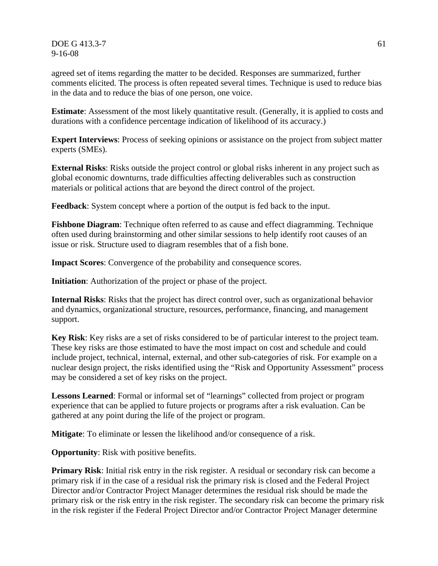$DOE G 413.3-7$  61 9-16-08

agreed set of items regarding the matter to be decided. Responses are summarized, further comments elicited. The process is often repeated several times. Technique is used to reduce bias in the data and to reduce the bias of one person, one voice.

**Estimate:** Assessment of the most likely quantitative result. (Generally, it is applied to costs and durations with a confidence percentage indication of likelihood of its accuracy.)

**Expert Interviews**: Process of seeking opinions or assistance on the project from subject matter experts (SMEs).

**External Risks**: Risks outside the project control or global risks inherent in any project such as global economic downturns, trade difficulties affecting deliverables such as construction materials or political actions that are beyond the direct control of the project.

**Feedback**: System concept where a portion of the output is fed back to the input.

**Fishbone Diagram**: Technique often referred to as cause and effect diagramming. Technique often used during brainstorming and other similar sessions to help identify root causes of an issue or risk. Structure used to diagram resembles that of a fish bone.

**Impact Scores**: Convergence of the probability and consequence scores.

**Initiation**: Authorization of the project or phase of the project.

**Internal Risks**: Risks that the project has direct control over, such as organizational behavior and dynamics, organizational structure, resources, performance, financing, and management support.

**Key Risk**: Key risks are a set of risks considered to be of particular interest to the project team. These key risks are those estimated to have the most impact on cost and schedule and could include project, technical, internal, external, and other sub-categories of risk. For example on a nuclear design project, the risks identified using the "Risk and Opportunity Assessment" process may be considered a set of key risks on the project.

**Lessons Learned**: Formal or informal set of "learnings" collected from project or program experience that can be applied to future projects or programs after a risk evaluation. Can be gathered at any point during the life of the project or program.

**Mitigate**: To eliminate or lessen the likelihood and/or consequence of a risk.

**Opportunity:** Risk with positive benefits.

**Primary Risk**: Initial risk entry in the risk register. A residual or secondary risk can become a primary risk if in the case of a residual risk the primary risk is closed and the Federal Project Director and/or Contractor Project Manager determines the residual risk should be made the primary risk or the risk entry in the risk register. The secondary risk can become the primary risk in the risk register if the Federal Project Director and/or Contractor Project Manager determine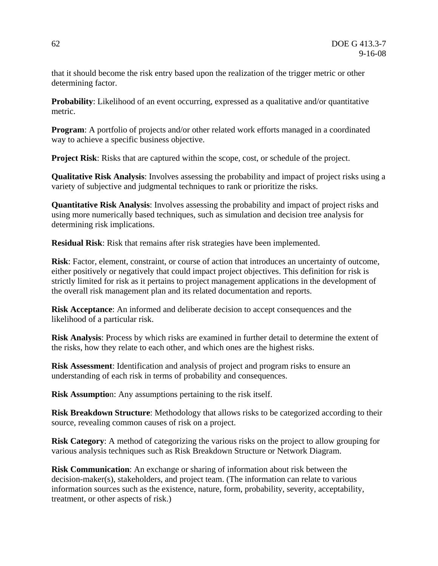that it should become the risk entry based upon the realization of the trigger metric or other determining factor.

**Probability**: Likelihood of an event occurring, expressed as a qualitative and/or quantitative metric.

**Program:** A portfolio of projects and/or other related work efforts managed in a coordinated way to achieve a specific business objective.

**Project Risk:** Risks that are captured within the scope, cost, or schedule of the project.

**Qualitative Risk Analysis**: Involves assessing the probability and impact of project risks using a variety of subjective and judgmental techniques to rank or prioritize the risks.

**Quantitative Risk Analysis**: Involves assessing the probability and impact of project risks and using more numerically based techniques, such as simulation and decision tree analysis for determining risk implications.

**Residual Risk**: Risk that remains after risk strategies have been implemented.

**Risk**: Factor, element, constraint, or course of action that introduces an uncertainty of outcome, either positively or negatively that could impact project objectives. This definition for risk is strictly limited for risk as it pertains to project management applications in the development of the overall risk management plan and its related documentation and reports.

**Risk Acceptance**: An informed and deliberate decision to accept consequences and the likelihood of a particular risk.

**Risk Analysis**: Process by which risks are examined in further detail to determine the extent of the risks, how they relate to each other, and which ones are the highest risks.

**Risk Assessment**: Identification and analysis of project and program risks to ensure an understanding of each risk in terms of probability and consequences.

**Risk Assumptio**n: Any assumptions pertaining to the risk itself.

**Risk Breakdown Structure**: Methodology that allows risks to be categorized according to their source, revealing common causes of risk on a project.

**Risk Category**: A method of categorizing the various risks on the project to allow grouping for various analysis techniques such as Risk Breakdown Structure or Network Diagram.

**Risk Communication**: An exchange or sharing of information about risk between the decision-maker(s), stakeholders, and project team. (The information can relate to various information sources such as the existence, nature, form, probability, severity, acceptability, treatment, or other aspects of risk.)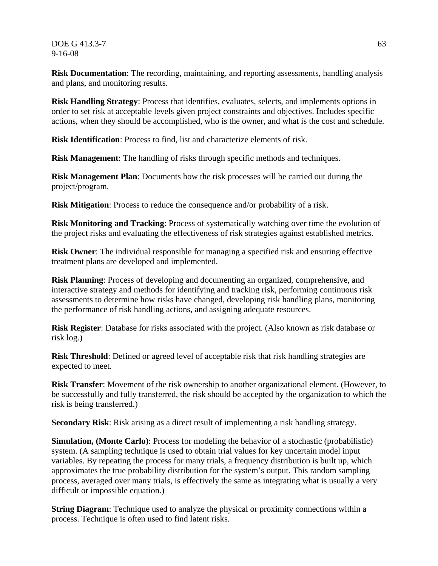$DOE G 413.3-7$  63 9-16-08

**Risk Documentation**: The recording, maintaining, and reporting assessments, handling analysis and plans, and monitoring results.

**Risk Handling Strategy**: Process that identifies, evaluates, selects, and implements options in order to set risk at acceptable levels given project constraints and objectives. Includes specific actions, when they should be accomplished, who is the owner, and what is the cost and schedule.

**Risk Identification**: Process to find, list and characterize elements of risk.

**Risk Management**: The handling of risks through specific methods and techniques.

**Risk Management Plan**: Documents how the risk processes will be carried out during the project/program.

**Risk Mitigation**: Process to reduce the consequence and/or probability of a risk.

**Risk Monitoring and Tracking**: Process of systematically watching over time the evolution of the project risks and evaluating the effectiveness of risk strategies against established metrics.

**Risk Owner**: The individual responsible for managing a specified risk and ensuring effective treatment plans are developed and implemented.

**Risk Planning**: Process of developing and documenting an organized, comprehensive, and interactive strategy and methods for identifying and tracking risk, performing continuous risk assessments to determine how risks have changed, developing risk handling plans, monitoring the performance of risk handling actions, and assigning adequate resources.

**Risk Register**: Database for risks associated with the project. (Also known as risk database or risk log.)

**Risk Threshold**: Defined or agreed level of acceptable risk that risk handling strategies are expected to meet.

**Risk Transfer**: Movement of the risk ownership to another organizational element. (However, to be successfully and fully transferred, the risk should be accepted by the organization to which the risk is being transferred.)

**Secondary Risk**: Risk arising as a direct result of implementing a risk handling strategy.

**Simulation, (Monte Carlo)**: Process for modeling the behavior of a stochastic (probabilistic) system. (A sampling technique is used to obtain trial values for key uncertain model input variables. By repeating the process for many trials, a frequency distribution is built up, which approximates the true probability distribution for the system's output. This random sampling process, averaged over many trials, is effectively the same as integrating what is usually a very difficult or impossible equation.)

**String Diagram**: Technique used to analyze the physical or proximity connections within a process. Technique is often used to find latent risks.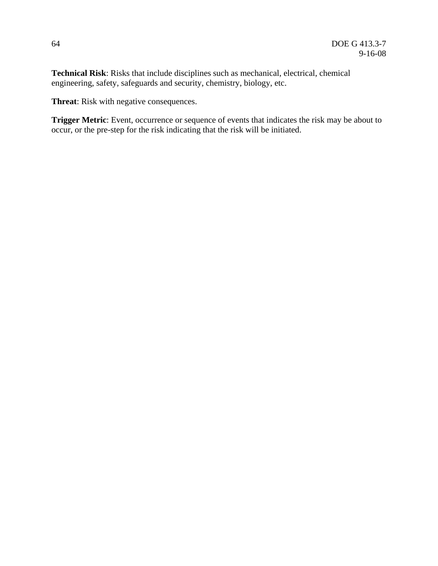**Technical Risk**: Risks that include disciplines such as mechanical, electrical, chemical engineering, safety, safeguards and security, chemistry, biology, etc.

**Threat**: Risk with negative consequences.

**Trigger Metric**: Event, occurrence or sequence of events that indicates the risk may be about to occur, or the pre-step for the risk indicating that the risk will be initiated.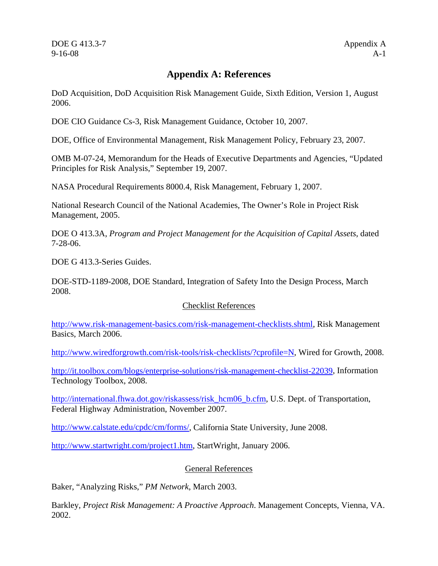#### **Appendix A: References**

DoD Acquisition, DoD Acquisition Risk Management Guide, Sixth Edition, Version 1, August 2006.

DOE CIO Guidance Cs-3, Risk Management Guidance, October 10, 2007.

DOE, Office of Environmental Management, Risk Management Policy, February 23, 2007.

OMB M-07-24, Memorandum for the Heads of Executive Departments and Agencies, "Updated Principles for Risk Analysis," September 19, 2007.

NASA Procedural Requirements 8000.4, Risk Management, February 1, 2007.

National Research Council of the National Academies, The Owner's Role in Project Risk Management, 2005.

DOE O 413.3A, *Program and Project Management for the Acquisition of Capital Assets*, dated 7-28-06.

DOE G 413.3-Series Guides.

DOE-STD-1189-2008, DOE Standard, Integration of Safety Into the Design Process, March 2008.

#### Checklist References

http://www.risk-management-basics.com/risk-management-checklists.shtml, Risk Management Basics, March 2006.

http://www.wiredforgrowth.com/risk-tools/risk-checklists/?cprofile=N, Wired for Growth, 2008.

http://it.toolbox.com/blogs/enterprise-solutions/risk-management-checklist-22039, Information Technology Toolbox, 2008.

http://international.fhwa.dot.gov/riskassess/risk\_hcm06\_b.cfm, U.S. Dept. of Transportation, Federal Highway Administration, November 2007.

http://www.calstate.edu/cpdc/cm/forms/, California State University, June 2008.

http://www.startwright.com/project1.htm, StartWright, January 2006.

#### General References

Baker, "Analyzing Risks," *PM Network*, March 2003.

Barkley, *Project Risk Management: A Proactive Approach*. Management Concepts, Vienna, VA. 2002.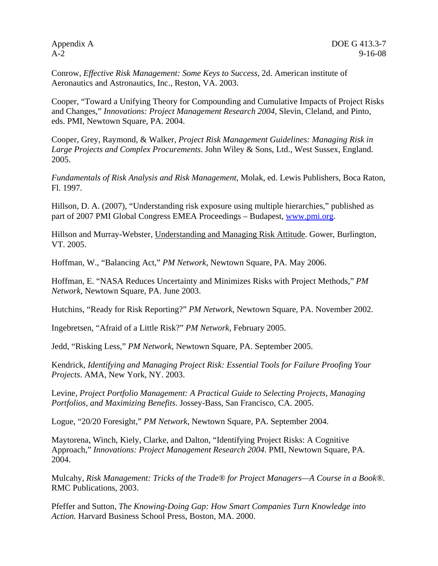Conrow, *Effective Risk Management: Some Keys to Success*, 2d. American institute of Aeronautics and Astronautics, Inc., Reston, VA. 2003.

Cooper, "Toward a Unifying Theory for Compounding and Cumulative Impacts of Project Risks and Changes," *Innovations: Project Management Research 2004*, Slevin, Cleland, and Pinto, eds. PMI, Newtown Square, PA. 2004.

Cooper, Grey, Raymond, & Walker, *Project Risk Management Guidelines: Managing Risk in Large Projects and Complex Procurements*. John Wiley & Sons, Ltd., West Sussex, England. 2005.

*Fundamentals of Risk Analysis and Risk Management,* Molak, ed. Lewis Publishers, Boca Raton, Fl. 1997.

Hillson, D. A. (2007), "Understanding risk exposure using multiple hierarchies," published as part of 2007 PMI Global Congress EMEA Proceedings – Budapest, www.pmi.org.

Hillson and Murray-Webster, Understanding and Managing Risk Attitude. Gower, Burlington, VT. 2005.

Hoffman, W., "Balancing Act," *PM Network*, Newtown Square, PA. May 2006.

Hoffman, E. "NASA Reduces Uncertainty and Minimizes Risks with Project Methods," *PM Network*, Newtown Square, PA. June 2003.

Hutchins, "Ready for Risk Reporting?" *PM Network*, Newtown Square, PA. November 2002.

Ingebretsen, "Afraid of a Little Risk?" *PM Network*, February 2005.

Jedd, "Risking Less," *PM Network*, Newtown Square, PA. September 2005.

Kendrick, *Identifying and Managing Project Risk: Essential Tools for Failure Proofing Your Projects*. AMA, New York, NY. 2003.

Levine, *Project Portfolio Management: A Practical Guide to Selecting Projects, Managing Portfolios, and Maximizing Benefits*. Jossey-Bass, San Francisco, CA. 2005.

Logue, "20/20 Foresight," *PM Network*, Newtown Square, PA. September 2004.

Maytorena, Winch, Kiely, Clarke, and Dalton, "Identifying Project Risks: A Cognitive Approach," *Innovations: Project Management Research 2004*. PMI, Newtown Square, PA. 2004.

Mulcahy, *Risk Management: Tricks of the Trade® for Project Managers—A Course in a Book®.* RMC Publications, 2003.

Pfeffer and Sutton, *The Knowing-Doing Gap: How Smart Companies Turn Knowledge into Action.* Harvard Business School Press, Boston, MA. 2000.